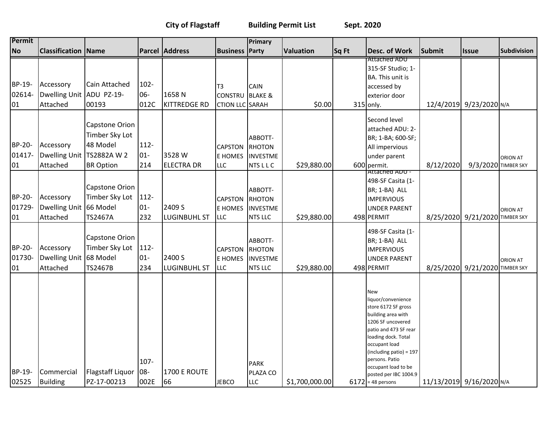**City of Flagstaff Building Permit List Sept. 2020**

| Permit                 |                                                 |                                                             |                          |                               |                                         | Primary                                                       |                  |       |                                                                                                                                                                                                                                                                  |                          |                                |                    |
|------------------------|-------------------------------------------------|-------------------------------------------------------------|--------------------------|-------------------------------|-----------------------------------------|---------------------------------------------------------------|------------------|-------|------------------------------------------------------------------------------------------------------------------------------------------------------------------------------------------------------------------------------------------------------------------|--------------------------|--------------------------------|--------------------|
| <b>No</b>              | <b>Classification Name</b>                      |                                                             |                          | <b>Parcel Address</b>         | <b>Business</b>                         | Party                                                         | <b>Valuation</b> | Sq Ft | <b>Desc. of Work</b>                                                                                                                                                                                                                                             | Submit                   | <b>Issue</b>                   | <b>Subdivision</b> |
|                        |                                                 |                                                             |                          |                               |                                         |                                                               |                  |       | Attached ADU                                                                                                                                                                                                                                                     |                          |                                |                    |
|                        |                                                 |                                                             |                          |                               |                                         |                                                               |                  |       | 315-SF Studio; 1-<br><b>BA.</b> This unit is                                                                                                                                                                                                                     |                          |                                |                    |
| BP-19-                 | Accessory                                       | Cain Attached                                               | $102 -$                  |                               | T3                                      | CAIN                                                          |                  |       | accessed by                                                                                                                                                                                                                                                      |                          |                                |                    |
| 02614-                 | Dwelling Unit ADU PZ-19-                        |                                                             | 06-                      | 1658N                         | <b>CONSTRU</b>                          | <b>BLAKE &amp;</b>                                            |                  |       | exterior door                                                                                                                                                                                                                                                    |                          |                                |                    |
| 01                     | Attached                                        | 00193                                                       | 012C                     | <b>KITTREDGE RD</b>           | <b>CTION LLC SARAH</b>                  |                                                               | \$0.00           |       | 315 only.                                                                                                                                                                                                                                                        |                          | 12/4/2019 9/23/2020 N/A        |                    |
| BP-20-<br>01417-       | Accessory<br>Dwelling Unit                      | Capstone Orion<br>Timber Sky Lot<br>48 Model<br>TS2882A W 2 | $112 -$<br>$01 -$        | 3528W                         | <b>CAPSTON</b><br><b>E HOMES</b>        | ABBOTT-<br><b>RHOTON</b><br><b>INVESTME</b>                   |                  |       | Second level<br>attached ADU: 2-<br>BR; 1-BA; 600-SF;<br>All impervious<br>under parent                                                                                                                                                                          |                          |                                | <b>ORION AT</b>    |
| 01                     | Attached                                        | <b>BR Option</b>                                            | 214                      | <b>ELECTRA DR</b>             | <b>LLC</b>                              | <b>NTSLLC</b>                                                 | \$29,880.00      |       | 600 permit.<br>Attached ADU -                                                                                                                                                                                                                                    | 8/12/2020                | 9/3/2020 TIMBER SKY            |                    |
| BP-20-<br>01729-<br>01 | Accessory<br>Dwelling Unit 66 Model<br>Attached | Capstone Orion<br>Timber Sky Lot<br>TS2467A                 | $112 -$<br>$01 -$<br>232 | 2409 S<br><b>LUGINBUHL ST</b> | <b>CAPSTON</b><br>E HOMES<br><b>LLC</b> | ABBOTT-<br><b>RHOTON</b><br><b>INVESTME</b><br><b>NTS LLC</b> | \$29,880.00      |       | 498-SF Casita (1-<br>BR; 1-BA) ALL<br><b>IMPERVIOUS</b><br><b>UNDER PARENT</b><br>498 PERMIT                                                                                                                                                                     |                          | 8/25/2020 9/21/2020 TIMBER SKY | <b>ORION AT</b>    |
| BP-20-<br>01730-<br>01 | Accessory<br>Dwelling Unit 68 Model<br>Attached | Capstone Orion<br>Timber Sky Lot<br><b>TS2467B</b>          | 112-<br>$01-$<br>234     | 2400 S<br><b>LUGINBUHL ST</b> | <b>CAPSTON</b><br>E HOMES<br><b>LLC</b> | ABBOTT-<br><b>RHOTON</b><br><b>INVESTME</b><br><b>NTS LLC</b> | \$29,880.00      |       | 498-SF Casita (1-<br>BR; 1-BA) ALL<br><b>IMPERVIOUS</b><br><b>UNDER PARENT</b><br>498 PERMIT                                                                                                                                                                     |                          | 8/25/2020 9/21/2020 TIMBER SKY | <b>ORION AT</b>    |
| BP-19-                 | Commercial                                      | Flagstaff Liquor   08-                                      | 107-                     | 1700 E ROUTE                  |                                         | <b>PARK</b><br>PLAZA CO                                       |                  |       | <b>New</b><br>liquor/convenience<br>store 6172 SF gross<br>building area with<br>1206 SF uncovered<br>patio and 473 SF rear<br>loading dock. Total<br>occupant load<br>(including patio) = 197<br>persons. Patio<br>occupant load to be<br>posted per IBC 1004.9 |                          |                                |                    |
| 02525                  | Building                                        | PZ-17-00213                                                 | 002E                     | 66                            | <b>JEBCO</b>                            | <b>LLC</b>                                                    | \$1,700,000.00   |       | $6172$ = 48 persons                                                                                                                                                                                                                                              | 11/13/2019 9/16/2020 N/A |                                |                    |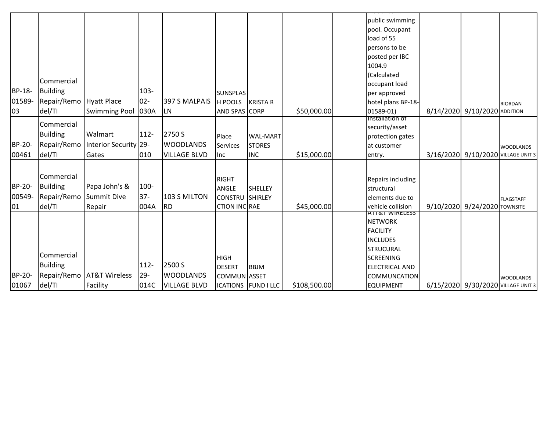|        |                 |                          |         |                     |                         |                     |              | public swimming                      |                              |                              |                                    |
|--------|-----------------|--------------------------|---------|---------------------|-------------------------|---------------------|--------------|--------------------------------------|------------------------------|------------------------------|------------------------------------|
|        |                 |                          |         |                     |                         |                     |              | pool. Occupant                       |                              |                              |                                    |
|        |                 |                          |         |                     |                         |                     |              | load of 55                           |                              |                              |                                    |
|        |                 |                          |         |                     |                         |                     |              | persons to be                        |                              |                              |                                    |
|        |                 |                          |         |                     |                         |                     |              | posted per IBC                       |                              |                              |                                    |
|        |                 |                          |         |                     |                         |                     |              | 1004.9                               |                              |                              |                                    |
|        |                 |                          |         |                     |                         |                     |              | (Calculated                          |                              |                              |                                    |
|        | Commercial      |                          |         |                     |                         |                     |              | occupant load                        |                              |                              |                                    |
| BP-18- | Building        |                          | $103 -$ |                     | <b>SUNSPLAS</b>         |                     |              | per approved                         |                              |                              |                                    |
| 01589- | Repair/Remo     | Hyatt Place              | $02 -$  | 397 S MALPAIS       | H POOLS                 | <b>KRISTA R</b>     |              | hotel plans BP-18-                   |                              |                              | <b>RIORDAN</b>                     |
| 03     | del/TI          | <b>Swimming Pool</b>     | 030A    | <b>ILN</b>          | AND SPAS CORP           |                     | \$50,000.00  | 01589-01)                            | 8/14/2020 9/10/2020 ADDITION |                              |                                    |
|        | Commercial      |                          |         |                     |                         |                     |              | <b>Installation of</b>               |                              |                              |                                    |
|        |                 |                          |         |                     |                         |                     |              | security/asset                       |                              |                              |                                    |
|        | <b>Building</b> | Walmart                  | $112 -$ | 2750 S              | Place                   | <b>WAL-MART</b>     |              | protection gates                     |                              |                              |                                    |
| BP-20- | Repair/Remo     | Interior Security 29-    |         | <b>WOODLANDS</b>    | Services                | <b>STORES</b>       |              | at customer                          |                              |                              | <b>WOODLANDS</b>                   |
| 00461  | del/TI          | Gates                    | 010     | <b>VILLAGE BLVD</b> | llnc.                   | <b>INC</b>          | \$15,000.00  | entry.                               |                              |                              | 3/16/2020 9/10/2020 VILLAGE UNIT 3 |
|        |                 |                          |         |                     |                         |                     |              |                                      |                              |                              |                                    |
|        | Commercial      |                          |         |                     | <b>RIGHT</b>            |                     |              |                                      |                              |                              |                                    |
| BP-20- | Building        | Papa John's &            | 100-    |                     |                         | <b>SHELLEY</b>      |              | Repairs including                    |                              |                              |                                    |
| 00549- | Repair/Remo     | Summit Dive              | $37 -$  | 103 S MILTON        | ANGLE<br><b>CONSTRU</b> | SHIRLEY             |              | structural                           |                              |                              |                                    |
|        |                 |                          |         | <b>RD</b>           |                         |                     |              | elements due to<br>vehicle collision |                              |                              | <b>FLAGSTAFF</b>                   |
| 01     | del/TI          | Repair                   | 004A    |                     | <b>CTION INC RAE</b>    |                     | \$45,000.00  | ATT&T WIRELESS                       |                              | 9/10/2020 9/24/2020 TOWNSITE |                                    |
|        |                 |                          |         |                     |                         |                     |              | <b>NETWORK</b>                       |                              |                              |                                    |
|        |                 |                          |         |                     |                         |                     |              | <b>FACILITY</b>                      |                              |                              |                                    |
|        |                 |                          |         |                     |                         |                     |              | <b>INCLUDES</b>                      |                              |                              |                                    |
|        |                 |                          |         |                     |                         |                     |              | <b>STRUCURAL</b>                     |                              |                              |                                    |
|        | Commercial      |                          |         |                     | <b>HIGH</b>             |                     |              | <b>SCREENING</b>                     |                              |                              |                                    |
|        | Building        |                          | $112 -$ | 2500 S              | <b>DESERT</b>           | <b>BBJM</b>         |              | <b>ELECTRICAL AND</b>                |                              |                              |                                    |
| BP-20- | Repair/Remo     | <b>AT&amp;T Wireless</b> | $29 -$  | <b>WOODLANDS</b>    | COMMUN ASSET            |                     |              | COMMUNCATION                         |                              |                              | <b>WOODLANDS</b>                   |
| 01067  | del/TI          | Facility                 | 014C    | <b>VILLAGE BLVD</b> |                         | ICATIONS FUND I LLC | \$108,500.00 | <b>EQUIPMENT</b>                     |                              |                              | 6/15/2020 9/30/2020 VILLAGE UNIT 3 |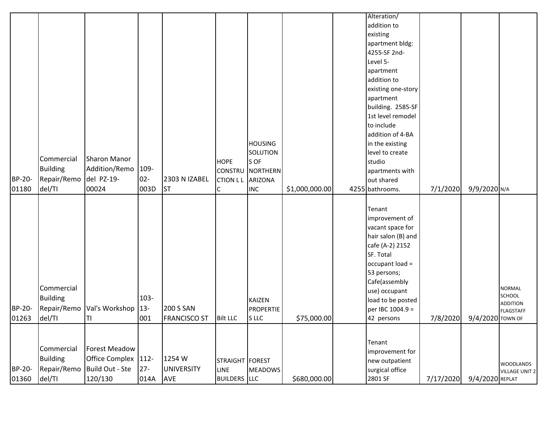| BP-20-<br>01360 | Commercial<br><b>Building</b><br>Repair/Remo<br>del/TI | <b>Forest Meadow</b><br>Office Complex   112-<br>Build Out - Ste<br>120/130 | $27 -$<br>014A         | 1254 W<br><b>UNIVERSITY</b><br><b>AVE</b> | STRAIGHT FOREST<br>LINE<br><b>BUILDERS</b> LLC   | MEADOWS                                                                 | \$680,000.00   | Tenant<br>improvement for<br>new outpatient<br>surgical office<br>2801 SF                                                                                                                                                                                                                                                            | 7/17/2020 | 9/4/2020 REPLAT  | <b>WOODLANDS</b><br><b>VILLAGE UNIT 2</b>                      |
|-----------------|--------------------------------------------------------|-----------------------------------------------------------------------------|------------------------|-------------------------------------------|--------------------------------------------------|-------------------------------------------------------------------------|----------------|--------------------------------------------------------------------------------------------------------------------------------------------------------------------------------------------------------------------------------------------------------------------------------------------------------------------------------------|-----------|------------------|----------------------------------------------------------------|
| BP-20-<br>01263 | Commercial<br><b>Building</b><br>Repair/Remo<br>del/TI | Val's Workshop   13-<br>ΤI                                                  | 103-<br>001            | <b>200 S SAN</b><br><b>FRANCISCO ST</b>   | <b>Bilt LLC</b>                                  | <b>KAIZEN</b><br><b>PROPERTIE</b><br>S LLC                              | \$75,000.00    | Tenant<br>improvement of<br>vacant space for<br>hair salon (B) and<br>cafe (A-2) 2152<br>SF. Total<br>occupant load =<br>53 persons;<br>Cafe(assembly<br>use) occupant<br>load to be posted<br>per IBC 1004.9 =<br>42 persons                                                                                                        | 7/8/2020  | 9/4/2020 TOWN OF | <b>NORMAL</b><br>SCHOOL<br><b>ADDITION</b><br><b>FLAGSTAFF</b> |
| BP-20-<br>01180 | Commercial<br><b>Building</b><br>Repair/Remo<br>del/TI | <b>Sharon Manor</b><br>Addition/Remo<br>del PZ-19-<br>00024                 | 109-<br>$02 -$<br>003D | 2303 N IZABEL<br><b>ST</b>                | <b>HOPE</b><br><b>CONSTRU</b><br><b>CTION LL</b> | <b>HOUSING</b><br>SOLUTION<br>S OF<br>NORTHERN<br>ARIZONA<br><b>INC</b> | \$1,000,000.00 | Alteration/<br>addition to<br>existing<br>apartment bldg:<br>4255-SF 2nd-<br>Level 5-<br>apartment<br>addition to<br>existing one-story<br>apartment<br>building. 2585-SF<br>1st level remodel<br>to include<br>addition of 4-BA<br>in the existing<br>level to create<br>studio<br>apartments with<br>out shared<br>4255 bathrooms. | 7/1/2020  | 9/9/2020 N/A     |                                                                |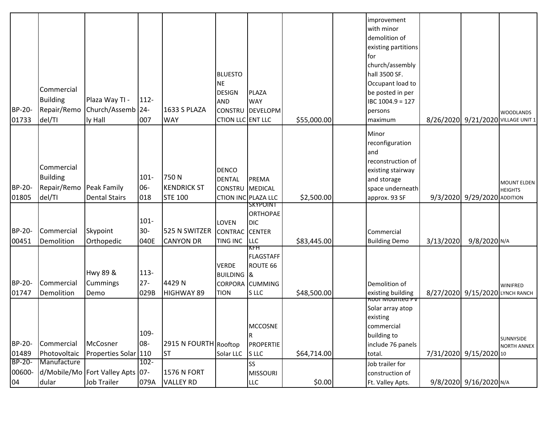|        |                 |                                  |         |                       |                            |                  |             | improvement                  |           |                                    |                                      |
|--------|-----------------|----------------------------------|---------|-----------------------|----------------------------|------------------|-------------|------------------------------|-----------|------------------------------------|--------------------------------------|
|        |                 |                                  |         |                       |                            |                  |             | with minor                   |           |                                    |                                      |
|        |                 |                                  |         |                       |                            |                  |             | demolition of                |           |                                    |                                      |
|        |                 |                                  |         |                       |                            |                  |             | existing partitions          |           |                                    |                                      |
|        |                 |                                  |         |                       |                            |                  |             | for                          |           |                                    |                                      |
|        |                 |                                  |         |                       |                            |                  |             | church/assembly              |           |                                    |                                      |
|        |                 |                                  |         |                       | <b>BLUESTO</b>             |                  |             | hall 3500 SF.                |           |                                    |                                      |
|        |                 |                                  |         |                       | <b>NE</b>                  |                  |             | Occupant load to             |           |                                    |                                      |
|        | Commercial      |                                  |         |                       | <b>DESIGN</b>              | <b>PLAZA</b>     |             | be posted in per             |           |                                    |                                      |
|        | <b>Building</b> | Plaza Way TI -                   | 112-    |                       | <b>AND</b>                 | <b>WAY</b>       |             | IBC 1004.9 = 127             |           |                                    |                                      |
| BP-20- | Repair/Remo     | Church/Assemb 24-                |         | 1633 S PLAZA          | <b>CONSTRU</b>             | <b>DEVELOPM</b>  |             |                              |           |                                    |                                      |
|        |                 |                                  |         |                       |                            |                  |             | persons                      |           |                                    | <b>WOODLANDS</b>                     |
| 01733  | del/TI          | ly Hall                          | 007     | <b>WAY</b>            | <b>CTION LLC ENT LLC</b>   |                  | \$55,000.00 | maximum                      |           | 8/26/2020 9/21/2020 VILLAGE UNIT 1 |                                      |
|        |                 |                                  |         |                       |                            |                  |             | Minor                        |           |                                    |                                      |
|        |                 |                                  |         |                       |                            |                  |             | reconfiguration              |           |                                    |                                      |
|        |                 |                                  |         |                       |                            |                  |             | and                          |           |                                    |                                      |
|        |                 |                                  |         |                       |                            |                  |             | reconstruction of            |           |                                    |                                      |
|        | Commercial      |                                  |         |                       | DENCO                      |                  |             | existing stairway            |           |                                    |                                      |
|        | <b>Building</b> |                                  | $101 -$ | 750N                  | <b>DENTAL</b>              | <b>PREMA</b>     |             | and storage                  |           |                                    |                                      |
| BP-20- | Repair/Remo     | Peak Family                      | 06-     | <b>KENDRICK ST</b>    | <b>CONSTRU</b>             | <b>MEDICAL</b>   |             | space underneath             |           |                                    | <b>MOUNT ELDEN</b><br><b>HEIGHTS</b> |
| 01805  | del/TI          | <b>Dental Stairs</b>             | 018     | <b>STE 100</b>        | <b>CTION INC PLAZA LLC</b> |                  | \$2,500.00  | approx. 93 SF                |           | 9/3/2020 9/29/2020 ADDITION        |                                      |
|        |                 |                                  |         |                       |                            | <b>SKYPOINT</b>  |             |                              |           |                                    |                                      |
|        |                 |                                  |         |                       |                            | <b>ORTHOPAE</b>  |             |                              |           |                                    |                                      |
|        |                 |                                  | $101 -$ |                       | <b>LOVEN</b>               | <b>DIC</b>       |             |                              |           |                                    |                                      |
| BP-20- | Commercial      | Skypoint                         | $30 -$  | 525 N SWITZER         | <b>CONTRAC</b>             | <b>CENTER</b>    |             | Commercial                   |           |                                    |                                      |
| 00451  | Demolition      | Orthopedic                       | 040E    | <b>CANYON DR</b>      | <b>TING INC</b>            | <b>LLC</b>       | \$83,445.00 | <b>Building Demo</b>         | 3/13/2020 | 9/8/2020 N/A                       |                                      |
|        |                 |                                  |         |                       |                            | KFH              |             |                              |           |                                    |                                      |
|        |                 |                                  |         |                       |                            | <b>FLAGSTAFF</b> |             |                              |           |                                    |                                      |
|        |                 |                                  |         |                       | <b>VERDE</b>               | ROUTE 66         |             |                              |           |                                    |                                      |
|        |                 | <b>Hwy 89 &amp;</b>              | 113-    |                       | <b>BUILDING &amp;</b>      |                  |             |                              |           |                                    |                                      |
| BP-20- | Commercial      | Cummings                         | $27 -$  | 4429N                 |                            | CORPORA CUMMING  |             | Demolition of                |           |                                    | WINIFRED                             |
| 01747  | Demolition      | Demo                             | 029B    | <b>HIGHWAY 89</b>     | <b>TION</b>                | S LLC            | \$48,500.00 | existing building            |           | 8/27/2020 9/15/2020 LYNCH RANCH    |                                      |
|        |                 |                                  |         |                       |                            |                  |             | <del>koor iviountea PV</del> |           |                                    |                                      |
|        |                 |                                  |         |                       |                            |                  |             | Solar array atop             |           |                                    |                                      |
|        |                 |                                  |         |                       |                            |                  |             | existing                     |           |                                    |                                      |
|        |                 |                                  |         |                       |                            | <b>MCCOSNE</b>   |             | commercial                   |           |                                    |                                      |
|        |                 |                                  | 109-    |                       |                            |                  |             | building to                  |           |                                    | SUNNYSIDE                            |
| BP-20- | Commercial      | McCosner                         | 08-     | 2915 N FOURTH Rooftop |                            | <b>PROPERTIE</b> |             | include 76 panels            |           |                                    | <b>NORTH ANNEX</b>                   |
| 01489  | Photovoltaic    | Properties Solar 110             |         | <b>ST</b>             | Solar LLC                  | S LLC            | \$64,714.00 | total.                       |           | 7/31/2020 9/15/2020 10             |                                      |
| BP-20- | Manufacture     |                                  | $102 -$ |                       |                            | SS               |             | Job trailer for              |           |                                    |                                      |
| 00600- |                 | d/Mobile/Mo Fort Valley Apts 07- |         | <b>1576 N FORT</b>    |                            | <b>MISSOURI</b>  |             | construction of              |           |                                    |                                      |
| 04     | dular           | Job Trailer                      | 079A    | <b>VALLEY RD</b>      |                            | <b>LLC</b>       | \$0.00      | Ft. Valley Apts.             |           | 9/8/2020 9/16/2020 N/A             |                                      |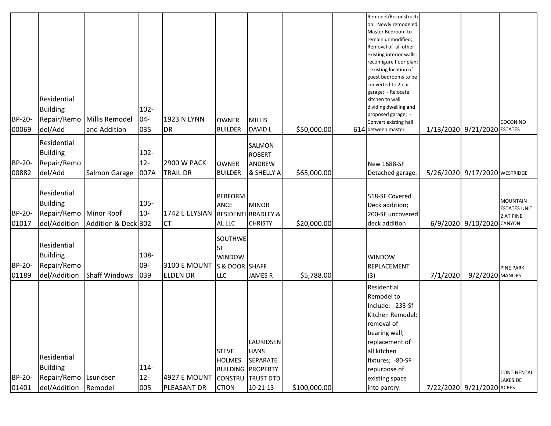|               |                    |                      |         |                    |                |                                |              | Remodel/Reconstructi                        |          |                               |                     |
|---------------|--------------------|----------------------|---------|--------------------|----------------|--------------------------------|--------------|---------------------------------------------|----------|-------------------------------|---------------------|
|               |                    |                      |         |                    |                |                                |              | on: Newly remodeled<br>Master Bedroom to    |          |                               |                     |
|               |                    |                      |         |                    |                |                                |              | remain unmodified;                          |          |                               |                     |
|               |                    |                      |         |                    |                |                                |              | Removal of all other                        |          |                               |                     |
|               |                    |                      |         |                    |                |                                |              | existing interior walls;                    |          |                               |                     |
|               |                    |                      |         |                    |                |                                |              | reconfigure floor plan:                     |          |                               |                     |
|               |                    |                      |         |                    |                |                                |              | existing location of                        |          |                               |                     |
|               |                    |                      |         |                    |                |                                |              | guest bedrooms to be                        |          |                               |                     |
|               |                    |                      |         |                    |                |                                |              | converted to 2-car                          |          |                               |                     |
|               |                    |                      |         |                    |                |                                |              | garage; - Relocate                          |          |                               |                     |
|               | Residential        |                      |         |                    |                |                                |              | kitchen to wall                             |          |                               |                     |
|               | <b>Building</b>    |                      | $102 -$ |                    |                |                                |              | dividing dwelling and                       |          |                               |                     |
| <b>BP-20-</b> | Repair/Remo        | Millis Remodel       | $04-$   | 1923 N LYNN        | <b>OWNER</b>   | <b>MILLIS</b>                  |              | proposed garage; -                          |          |                               |                     |
| 00069         |                    | and Addition         | 035     | DR <sub>.</sub>    | <b>BUILDER</b> | <b>DAVID L</b>                 | \$50,000.00  | Convert existing hall<br>614 between master |          | 1/13/2020 9/21/2020 ESTATES   | COCONINO            |
|               | del/Add            |                      |         |                    |                |                                |              |                                             |          |                               |                     |
|               | <b>Residential</b> |                      |         |                    |                | SALMON                         |              |                                             |          |                               |                     |
|               | <b>Building</b>    |                      | $102 -$ |                    |                | <b>ROBERT</b>                  |              |                                             |          |                               |                     |
| BP-20-        | Repair/Remo        |                      | $12 -$  | <b>2900 W PACK</b> | <b>OWNER</b>   | ANDREW                         |              | <b>New 1688-SF</b>                          |          |                               |                     |
|               |                    |                      |         |                    |                |                                |              |                                             |          |                               |                     |
| 00882         | del/Add            | Salmon Garage        | 007A    | <b>TRAIL DR</b>    | <b>BUILDER</b> | & SHELLY A                     | \$65,000.00  | Detached garage.                            |          | 5/26/2020 9/17/2020 WESTRIDGE |                     |
|               |                    |                      |         |                    |                |                                |              |                                             |          |                               |                     |
|               | Residential        |                      |         |                    | <b>PERFORM</b> |                                |              | 518-SF Covered                              |          |                               |                     |
|               | <b>Building</b>    |                      | $105 -$ |                    | <b>ANCE</b>    | <b>MINOR</b>                   |              | Deck addition;                              |          |                               | <b>MOUNTAIN</b>     |
| BP-20-        | Repair/Remo        | Minor Roof           | $10-$   | 1742 E ELYSIAN     |                | <b>RESIDENTI BRADLEY &amp;</b> |              | 200-SF uncovered                            |          |                               | <b>ESTATES UNIT</b> |
| 01017         | del/Addition       | Addition & Deck 302  |         | <b>CT</b>          | AL LLC         | <b>CHRISTY</b>                 | \$20,000.00  | deck addition                               |          | 6/9/2020 9/10/2020 CANYON     | 2 AT PINE           |
|               |                    |                      |         |                    |                |                                |              |                                             |          |                               |                     |
|               |                    |                      |         |                    | SOUTHWE        |                                |              |                                             |          |                               |                     |
|               | <b>Residential</b> |                      |         |                    | <b>ST</b>      |                                |              |                                             |          |                               |                     |
|               | <b>Building</b>    |                      | 108-    |                    | <b>WINDOW</b>  |                                |              | <b>WINDOW</b>                               |          |                               |                     |
| <b>BP-20-</b> | Repair/Remo        |                      | 09-     | 3100 E MOUNT       | S & DOOR SHAFF |                                |              | REPLACEMENT                                 |          |                               |                     |
| 01189         | del/Addition       | <b>Shaff Windows</b> | 039     | <b>ELDEN DR</b>    | <b>LLC</b>     | <b>JAMES R</b>                 | \$5,788.00   |                                             | 7/1/2020 | 9/2/2020 MANORS               | <b>PINE PARK</b>    |
|               |                    |                      |         |                    |                |                                |              | (3)                                         |          |                               |                     |
|               |                    |                      |         |                    |                |                                |              | Residential                                 |          |                               |                     |
|               |                    |                      |         |                    |                |                                |              | Remodel to                                  |          |                               |                     |
|               |                    |                      |         |                    |                |                                |              | Include: -233-Sf                            |          |                               |                     |
|               |                    |                      |         |                    |                |                                |              | Kitchen Remodel;                            |          |                               |                     |
|               |                    |                      |         |                    |                |                                |              | removal of                                  |          |                               |                     |
|               |                    |                      |         |                    |                |                                |              | bearing wall;                               |          |                               |                     |
|               |                    |                      |         |                    |                | <b>LAURIDSEN</b>               |              | replacement of                              |          |                               |                     |
|               |                    |                      |         |                    | <b>STEVE</b>   | <b>HANS</b>                    |              | all kitchen                                 |          |                               |                     |
|               | <b>Residential</b> |                      |         |                    | <b>HOLMES</b>  | SEPARATE                       |              | fixtures; -80-SF                            |          |                               |                     |
|               | <b>Building</b>    |                      | 114-    |                    |                | <b>BUILDING PROPERTY</b>       |              | repurpose of                                |          |                               |                     |
| <b>BP-20-</b> | Repair/Remo        | Lsuridsen            | $12-$   | 4927 E MOUNT       |                |                                |              |                                             |          |                               | CONTINENTAL         |
|               |                    |                      |         |                    | <b>CONSTRU</b> | <b>TRUST DTD</b>               |              | existing space                              |          |                               | LAKESIDE            |
| 01401         | del/Addition       | Remodel              | 005     | PLEASANT DR        | <b>CTION</b>   | $10 - 21 - 13$                 | \$100,000.00 | into pantry.                                |          | 7/22/2020 9/21/2020 ACRES     |                     |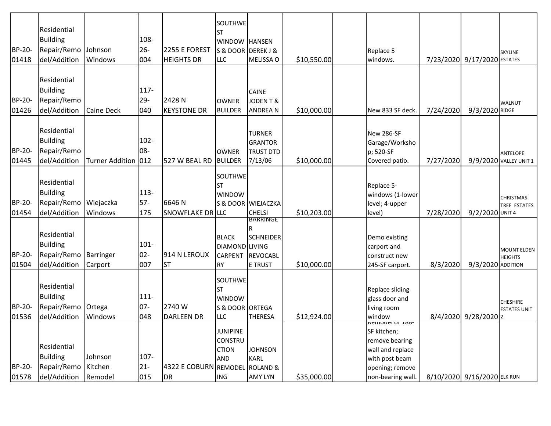| BP-20-<br>01418        | Residential<br><b>Building</b><br>Repair/Remo<br>del/Addition | Johnson<br>Windows            | 108-<br>$26 -$<br>004    | 2255 E FOREST<br><b>HEIGHTS DR</b> | <b>SOUTHWE</b><br><b>ST</b><br>WINDOW HANSEN<br><b>LLC</b>             | S & DOOR DEREK J &<br>MELISSA O                                   |             | Replace 5<br>windows.                                                                                       |           | 7/23/2020 9/17/2020 ESTATES | SKYLINE                                   |
|------------------------|---------------------------------------------------------------|-------------------------------|--------------------------|------------------------------------|------------------------------------------------------------------------|-------------------------------------------------------------------|-------------|-------------------------------------------------------------------------------------------------------------|-----------|-----------------------------|-------------------------------------------|
|                        |                                                               |                               |                          |                                    |                                                                        |                                                                   | \$10,550.00 |                                                                                                             |           |                             |                                           |
| <b>BP-20-</b><br>01426 | Residential<br><b>Building</b><br>Repair/Remo<br>del/Addition | <b>Caine Deck</b>             | $117 -$<br>$29 -$<br>040 | 2428N<br><b>KEYSTONE DR</b>        | <b>OWNER</b><br><b>BUILDER</b>                                         | CAINE<br>JODENT&<br><b>ANDREAN</b>                                | \$10,000.00 | New 833 SF deck.                                                                                            | 7/24/2020 | 9/3/2020 RIDGE              | <b>WALNUT</b>                             |
| BP-20-<br>01445        | Residential<br><b>Building</b><br>Repair/Remo<br>del/Addition | Turner Addition 012           | $102 -$<br>08-           | 527 W BEAL RD                      | <b>OWNER</b><br><b>BUILDER</b>                                         | <b>TURNER</b><br><b>GRANTOR</b><br><b>TRUST DTD</b><br>7/13/06    | \$10,000.00 | New 286-SF<br>Garage/Worksho<br>p; 520-SF<br>Covered patio.                                                 | 7/27/2020 |                             | <b>ANTELOPE</b><br>9/9/2020 VALLEY UNIT 1 |
| BP-20-<br>01454        | Residential<br><b>Building</b><br>Repair/Remo<br>del/Addition | Wiejaczka<br>Windows          | $113 -$<br>$57-$<br>175  | 6646N<br><b>SNOWFLAKE DR LLC</b>   | SOUTHWE<br><b>ST</b><br><b>WINDOW</b>                                  | S & DOOR WIEJACZKA<br><b>CHELSI</b>                               | \$10,203.00 | Replace 5-<br>windows (1-lower<br>level; 4-upper<br>level)                                                  | 7/28/2020 | 9/2/2020 UNIT 4             | <b>CHRISTMAS</b><br>TREE ESTATES          |
| BP-20-<br>01504        | Residential<br><b>Building</b><br>Repair/Remo<br>del/Addition | Barringer<br>Carport          | $101 -$<br>$02 -$<br>007 | 914 N LEROUX<br><b>ST</b>          | <b>BLACK</b><br>DIAMOND LIVING<br>CARPENT<br><b>RY</b>                 | BAKKINGE<br><b>SCHNEIDER</b><br><b>REVOCABL</b><br><b>E TRUST</b> | \$10,000.00 | Demo existing<br>carport and<br>construct new<br>245-SF carport.                                            | 8/3/2020  | 9/3/2020 ADDITION           | <b>MOUNT ELDEN</b><br><b>HEIGHTS</b>      |
| BP-20-<br>01536        | Residential<br><b>Building</b><br>Repair/Remo<br>del/Addition | Ortega<br>Windows             | $111 -$<br>$07 -$<br>048 | 2740 W<br><b>DARLEEN DR</b>        | SOUTHWE<br><b>ST</b><br><b>WINDOW</b><br>S & DOOR ORTEGA<br><b>LLC</b> | <b>THERESA</b>                                                    | \$12,924.00 | <b>Replace sliding</b><br>glass door and<br>living room<br>window                                           |           | 8/4/2020 9/28/2020 2        | <b>CHESHIRE</b><br><b>ESTATES UNIT</b>    |
| BP-20-<br>01578        | Residential<br><b>Building</b><br>Repair/Remo<br>del/Addition | Johnson<br>Kitchen<br>Remodel | 107-<br>$21 -$<br>015    | 4322 E COBURN REMODEL<br>DR        | <b>JUNIPINE</b><br><b>CONSTRU</b><br><b>CTION</b><br>AND<br><b>ING</b> | <b>JOHNSON</b><br><b>KARL</b><br><b>ROLAND &amp;</b><br>AMY LYN   | \$35,000.00 | SF kitchen;<br>remove bearing<br>wall and replace<br>with post beam<br>opening; remove<br>non-bearing wall. |           | 8/10/2020 9/16/2020 ELK RUN |                                           |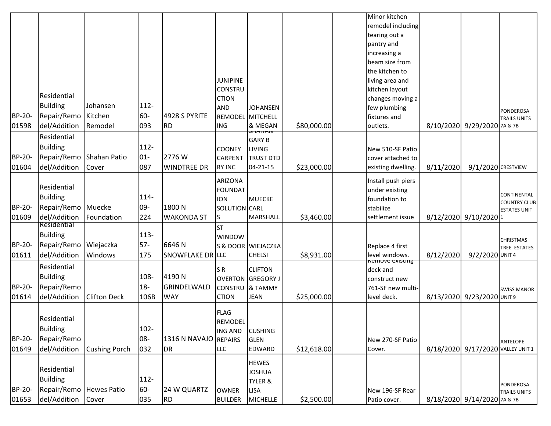|               |                    |                      |         |                         |                  |                          |             | Minor kitchen                          |           |                                   |                     |
|---------------|--------------------|----------------------|---------|-------------------------|------------------|--------------------------|-------------|----------------------------------------|-----------|-----------------------------------|---------------------|
|               |                    |                      |         |                         |                  |                          |             | remodel including                      |           |                                   |                     |
|               |                    |                      |         |                         |                  |                          |             | tearing out a                          |           |                                   |                     |
|               |                    |                      |         |                         |                  |                          |             | pantry and                             |           |                                   |                     |
|               |                    |                      |         |                         |                  |                          |             | increasing a                           |           |                                   |                     |
|               |                    |                      |         |                         |                  |                          |             | beam size from                         |           |                                   |                     |
|               |                    |                      |         |                         |                  |                          |             | the kitchen to                         |           |                                   |                     |
|               |                    |                      |         |                         | <b>JUNIPINE</b>  |                          |             | living area and                        |           |                                   |                     |
|               |                    |                      |         |                         | <b>CONSTRU</b>   |                          |             | kitchen layout                         |           |                                   |                     |
|               | Residential        |                      |         |                         | <b>CTION</b>     |                          |             | changes moving a                       |           |                                   |                     |
|               | <b>Building</b>    | Johansen             | $112 -$ |                         | <b>AND</b>       | <b>JOHANSEN</b>          |             | few plumbing                           |           |                                   | PONDEROSA           |
| BP-20-        | Repair/Remo        | Kitchen              | 60-     | 4928 S PYRITE           | REMODEL MITCHELL |                          |             | fixtures and                           |           |                                   | <b>TRAILS UNITS</b> |
| 01598         | del/Addition       | Remodel              | 093     | <b>RD</b>               | <b>ING</b>       | & MEGAN                  | \$80,000.00 | outlets.                               |           | 8/10/2020 9/29/2020 7A & 7B       |                     |
|               | Residential        |                      |         |                         |                  | <b>GARY B</b>            |             |                                        |           |                                   |                     |
|               | <b>Building</b>    |                      | $112 -$ |                         | <b>COONEY</b>    | <b>LIVING</b>            |             | New 510-SF Patio                       |           |                                   |                     |
| BP-20-        | Repair/Remo        | Shahan Patio         | $01 -$  | 2776W                   | <b>CARPENT</b>   | <b>TRUST DTD</b>         |             | cover attached to                      |           |                                   |                     |
| 01604         | del/Addition       | Cover                | 087     | <b>WINDTREE DR</b>      | <b>RY INC</b>    | $04 - 21 - 15$           | \$23,000.00 | existing dwelling.                     | 8/11/2020 | 9/1/2020 CRESTVIEW                |                     |
|               |                    |                      |         |                         |                  |                          |             |                                        |           |                                   |                     |
|               | <b>Residential</b> |                      |         |                         | <b>ARIZONA</b>   |                          |             | Install push piers                     |           |                                   |                     |
|               |                    |                      |         |                         | <b>FOUNDAT</b>   |                          |             | under existing                         |           |                                   | CONTINENTAL         |
|               | <b>Building</b>    |                      | 114-    |                         | <b>ION</b>       | <b>MUECKE</b>            |             | foundation to                          |           |                                   | <b>COUNTRY CLUB</b> |
| <b>BP-20-</b> | Repair/Remo        | Muecke               | 09-     | 1800N                   | SOLUTION CARL    |                          |             | stabilize                              |           |                                   | <b>ESTATES UNIT</b> |
| 01609         | del/Addition       | Foundation           | 224     | <b>WAKONDA ST</b>       | S                | MARSHALL                 | \$3,460.00  | settlement issue                       |           | 8/12/2020 9/10/2020 1             |                     |
|               | Residential        |                      |         |                         | <b>ST</b>        |                          |             |                                        |           |                                   |                     |
|               | <b>Building</b>    |                      | $113 -$ |                         | <b>WINDOW</b>    |                          |             |                                        |           |                                   | <b>CHRISTMAS</b>    |
| BP-20-        | Repair/Remo        | Wiejaczka            | $57-$   | 6646N                   |                  | S & DOOR WIEJACZKA       |             | Replace 4 first                        |           |                                   | TREE ESTATES        |
| 01611         | del/Addition       | Windows              | 175     | <b>SNOWFLAKE DR LLC</b> |                  | <b>CHELSI</b>            | \$8,931.00  | level windows.                         | 8/12/2020 | 9/2/2020 UNIT 4                   |                     |
|               | Residential        |                      |         |                         | SR.              | <b>CLIFTON</b>           |             | <del>Remove existing</del><br>deck and |           |                                   |                     |
|               | <b>Building</b>    |                      | 108-    | 4190N                   |                  | <b>OVERTON GREGORY</b> J |             | construct new                          |           |                                   |                     |
| BP-20-        | Repair/Remo        |                      | $18 -$  | GRINDELWALD             | <b>CONSTRU</b>   | & TAMMY                  |             | 761-SF new multi-                      |           |                                   | <b>SWISS MANOR</b>  |
| 01614         | del/Addition       | <b>Clifton Deck</b>  | 106B    | <b>WAY</b>              | <b>CTION</b>     | <b>JEAN</b>              | \$25,000.00 | level deck.                            |           | 8/13/2020 9/23/2020 UNIT 9        |                     |
|               |                    |                      |         |                         |                  |                          |             |                                        |           |                                   |                     |
|               | Residential        |                      |         |                         | <b>FLAG</b>      |                          |             |                                        |           |                                   |                     |
|               |                    |                      |         |                         | REMODEL          |                          |             |                                        |           |                                   |                     |
|               | <b>Building</b>    |                      | $102 -$ |                         | <b>ING AND</b>   | <b>CUSHING</b>           |             |                                        |           |                                   |                     |
| <b>BP-20-</b> | Repair/Remo        |                      | 08-     | 1316 N NAVAJO REPAIRS   |                  | <b>GLEN</b>              |             | New 270-SF Patio                       |           |                                   | <b>ANTELOPE</b>     |
| 01649         | del/Addition       | <b>Cushing Porch</b> | 032     | DR <sub></sub>          | <b>LLC</b>       | EDWARD                   | \$12,618.00 | Cover.                                 |           | 8/18/2020 9/17/2020 VALLEY UNIT 1 |                     |
|               |                    |                      |         |                         |                  | <b>HEWES</b>             |             |                                        |           |                                   |                     |
|               | Residential        |                      |         |                         |                  | <b>JOSHUA</b>            |             |                                        |           |                                   |                     |
|               | <b>Building</b>    |                      | $112 -$ |                         |                  | TYLER &                  |             |                                        |           |                                   | PONDEROSA           |
| BP-20-        | Repair/Remo        | <b>Hewes Patio</b>   | 60-     | 24 W QUARTZ             | <b>OWNER</b>     | <b>LISA</b>              |             | New 196-SF Rear                        |           |                                   | <b>TRAILS UNITS</b> |
| 01653         | del/Addition       | Cover                | 035     | <b>RD</b>               | <b>BUILDER</b>   | <b>MICHELLE</b>          | \$2,500.00  | Patio cover.                           |           | 8/18/2020 9/14/2020 7A & 7B       |                     |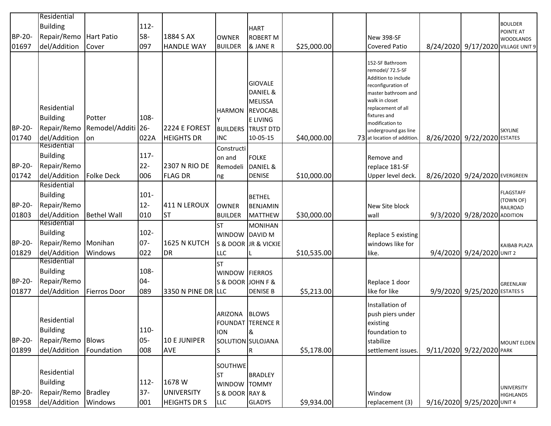|               | Residential                 |                     |         |                     |                   |                                     |             |                                                     |                               |                                    |
|---------------|-----------------------------|---------------------|---------|---------------------|-------------------|-------------------------------------|-------------|-----------------------------------------------------|-------------------------------|------------------------------------|
|               | <b>Building</b>             |                     | $112 -$ |                     |                   |                                     |             |                                                     |                               | <b>BOULDER</b>                     |
|               |                             | <b>Hart Patio</b>   |         | 1884 S AX           |                   | <b>HART</b>                         |             |                                                     |                               | POINTE AT                          |
| BP-20-        | Repair/Remo                 |                     | 58-     |                     | <b>OWNER</b>      | <b>ROBERT M</b>                     |             | New 398-SF                                          |                               | <b>WOODLANDS</b>                   |
| 01697         | del/Addition                | Cover               | 097     | <b>HANDLE WAY</b>   | <b>BUILDER</b>    | & JANE R                            | \$25,000.00 | <b>Covered Patio</b>                                |                               | 8/24/2020 9/17/2020 VILLAGE UNIT 9 |
|               |                             |                     |         |                     |                   |                                     |             | 152-SF Bathroom                                     |                               |                                    |
|               |                             |                     |         |                     |                   |                                     |             | remodel/ 72.5-SF                                    |                               |                                    |
|               |                             |                     |         |                     |                   |                                     |             | Addition to include                                 |                               |                                    |
|               |                             |                     |         |                     |                   | <b>GIOVALE</b>                      |             | reconfiguration of                                  |                               |                                    |
|               |                             |                     |         |                     |                   | DANIEL &                            |             | master bathroom and<br>walk in closet               |                               |                                    |
|               | Residential                 |                     |         |                     |                   | <b>MELISSA</b>                      |             | replacement of all                                  |                               |                                    |
|               | <b>Building</b>             | Potter              | 108-    |                     | <b>HARMON</b>     | <b>REVOCABL</b>                     |             | fixtures and                                        |                               |                                    |
| BP-20-        | Repair/Remo                 | Remodel/Additi 26-  |         | 2224 E FOREST       |                   | <b>E LIVING</b><br><b>TRUST DTD</b> |             | modification to                                     |                               |                                    |
|               |                             |                     |         | <b>HEIGHTS DR</b>   | <b>BUILDERS</b>   | 10-05-15                            |             | underground gas line<br>73 at location of addition. | 8/26/2020 9/22/2020 ESTATES   | <b>SKYLINE</b>                     |
| 01740         | del/Addition<br>Residential | lon                 | 022A    |                     | <b>INC</b>        |                                     | \$40,000.00 |                                                     |                               |                                    |
|               | <b>Building</b>             |                     | $117 -$ |                     | Constructi        |                                     |             |                                                     |                               |                                    |
| BP-20-        | Repair/Remo                 |                     | $22 -$  | 2307 N RIO DE       | on and            | <b>FOLKE</b>                        |             | Remove and                                          |                               |                                    |
|               |                             |                     |         |                     | Remodeli          | DANIEL &                            |             | replace 181-SF                                      |                               |                                    |
| 01742         | del/Addition<br>Residential | <b>Folke Deck</b>   | 006     | <b>FLAG DR</b>      | ng                | <b>DENISE</b>                       | \$10,000.00 | Upper level deck.                                   | 8/26/2020 9/24/2020 EVERGREEN |                                    |
|               |                             |                     |         |                     |                   |                                     |             |                                                     |                               | <b>FLAGSTAFF</b>                   |
|               | <b>Building</b>             |                     | $101 -$ |                     |                   | <b>BETHEL</b>                       |             |                                                     |                               | (TOWN OF)                          |
| BP-20-        | Repair/Remo                 |                     | $12 -$  | 411 N LEROUX        | <b>OWNER</b>      | <b>BENJAMIN</b>                     |             | New Site block                                      |                               | RAILROAD                           |
| 01803         | del/Addition                | <b>Bethel Wall</b>  | 010     | ST                  | <b>BUILDER</b>    | <b>MATTHEW</b>                      | \$30,000.00 | <b>wall</b>                                         | 9/3/2020 9/28/2020 ADDITION   |                                    |
|               | Residential                 |                     |         |                     | <b>ST</b>         | <b>MONIHAN</b>                      |             |                                                     |                               |                                    |
|               | <b>Building</b>             |                     | $102 -$ |                     | WINDOW DAVID M    |                                     |             | Replace 5 existing                                  |                               |                                    |
| BP-20-        | Repair/Remo                 | Monihan             | $07 -$  | 1625 N KUTCH        |                   | S & DOOR JR & VICKIE                |             | windows like for                                    |                               | <b>KAIBAB PLAZA</b>                |
| 01829         | del/Addition                | Windows             | 022     | DR                  | LLC               |                                     | \$10,535.00 | like.                                               | 9/4/2020 9/24/2020 UNIT 2     |                                    |
|               | Residential                 |                     |         |                     | <b>ST</b>         |                                     |             |                                                     |                               |                                    |
|               | <b>Building</b>             |                     | 108-    |                     | WINDOW FIERROS    |                                     |             |                                                     |                               |                                    |
| <b>BP-20-</b> | Repair/Remo                 |                     | 04-     |                     | S & DOOR JOHN F & |                                     |             | Replace 1 door                                      |                               | <b>GREENLAW</b>                    |
| 01877         | del/Addition                | <b>Fierros Door</b> | 089     | 3350 N PINE DR LLC  |                   | <b>DENISE B</b>                     | \$5,213.00  | like for like                                       | 9/9/2020 9/25/2020 ESTATES 5  |                                    |
|               |                             |                     |         |                     |                   |                                     |             | Installation of                                     |                               |                                    |
|               |                             |                     |         |                     | ARIZONA BLOWS     |                                     |             | push piers under                                    |                               |                                    |
|               | Residential                 |                     |         |                     |                   | FOUNDAT TERENCE R                   |             | existing                                            |                               |                                    |
|               | <b>Building</b>             |                     | 110-    |                     | <b>ION</b>        | &                                   |             | foundation to                                       |                               |                                    |
| BP-20-        | Repair/Remo                 | <b>Blows</b>        | $05 -$  | <b>10 E JUNIPER</b> |                   | SOLUTION SULOJANA                   |             | stabilize                                           |                               | <b>MOUNT ELDEN</b>                 |
| 01899         | del/Addition                | Foundation          | 008     | <b>AVE</b>          | S                 | R                                   | \$5,178.00  | settlement issues.                                  | 9/11/2020 9/22/2020 PARK      |                                    |
|               |                             |                     |         |                     | <b>SOUTHWE</b>    |                                     |             |                                                     |                               |                                    |
|               | Residential                 |                     |         |                     | <b>ST</b>         | <b>BRADLEY</b>                      |             |                                                     |                               |                                    |
|               | <b>Building</b>             |                     | $112 -$ | 1678 W              | WINDOW TOMMY      |                                     |             |                                                     |                               | <b>UNIVERSITY</b>                  |
| BP-20-        | Repair/Remo                 | <b>Bradley</b>      | $37 -$  | <b>UNIVERSITY</b>   | S & DOOR RAY &    |                                     |             | <b>Window</b>                                       |                               | <b>HIGHLANDS</b>                   |
| 01958         | del/Addition                | Windows             | 001     | <b>HEIGHTS DR S</b> | LLC               | <b>GLADYS</b>                       | \$9,934.00  | replacement (3)                                     | 9/16/2020 9/25/2020 UNIT 4    |                                    |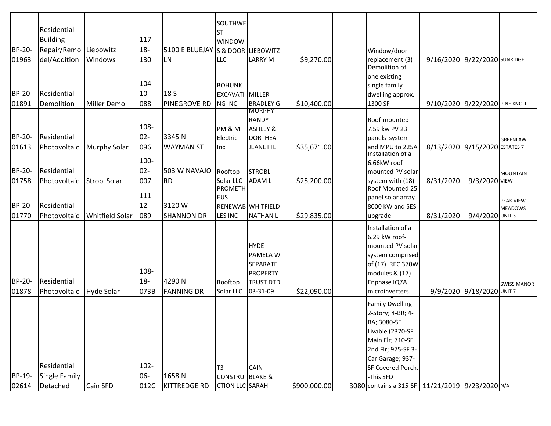|        | Residential          |                     |         |                                   | <b>SOUTHWE</b><br><b>ST</b> |                     |              |                                                     |           |                                |                    |
|--------|----------------------|---------------------|---------|-----------------------------------|-----------------------------|---------------------|--------------|-----------------------------------------------------|-----------|--------------------------------|--------------------|
|        | <b>Building</b>      |                     | $117 -$ |                                   | <b>WINDOW</b>               |                     |              |                                                     |           |                                |                    |
| BP-20- | Repair/Remo          | Liebowitz           | $18 -$  | 5100 E BLUEJAY S & DOOR LIEBOWITZ |                             |                     |              | Window/door                                         |           |                                |                    |
| 01963  | del/Addition         | Windows             | 130     | <b>LN</b>                         | LLC                         | <b>LARRY M</b>      | \$9,270.00   | replacement (3)                                     |           | 9/16/2020 9/22/2020 SUNRIDGE   |                    |
|        |                      |                     |         |                                   |                             |                     |              | Demolition of                                       |           |                                |                    |
|        |                      |                     |         |                                   |                             |                     |              | one existing                                        |           |                                |                    |
|        |                      |                     | $104 -$ |                                   | <b>BOHUNK</b>               |                     |              | single family                                       |           |                                |                    |
| BP-20- | Residential          |                     | $10 -$  | 18 S                              | <b>EXCAVATI MILLER</b>      |                     |              | dwelling approx.                                    |           |                                |                    |
| 01891  | Demolition           | <b>Miller Demo</b>  | 088     | <b>PINEGROVE RD</b>               | <b>NG INC</b>               | <b>BRADLEY G</b>    | \$10,400.00  | 1300 SF                                             |           | 9/10/2020 9/22/2020 PINE KNOLL |                    |
|        |                      |                     |         |                                   |                             | <b>MURPHY</b>       |              |                                                     |           |                                |                    |
|        |                      |                     | 108-    |                                   |                             | <b>RANDY</b>        |              | Roof-mounted                                        |           |                                |                    |
|        |                      |                     |         |                                   | PM & M                      | <b>ASHLEY &amp;</b> |              | 7.59 kw PV 23                                       |           |                                |                    |
| BP-20- | Residential          |                     | $02 -$  | 3345N                             | Electric                    | <b>DORTHEA</b>      |              | panels system                                       |           |                                | GREENLAW           |
| 01613  | Photovoltaic         | <b>Murphy Solar</b> | 096     | <b>WAYMAN ST</b>                  | Inc                         | <b>JEANETTE</b>     | \$35,671.00  | and MPU to 225A<br><b>Installation of a</b>         |           | 8/13/2020 9/15/2020 ESTATES 7  |                    |
|        |                      |                     | 100-    |                                   |                             |                     |              | 6.66kW roof-                                        |           |                                |                    |
| BP-20- | Residential          |                     | $02 -$  | 503 W NAVAJO                      | Rooftop                     | <b>STROBL</b>       |              | mounted PV solar                                    |           |                                | <b>MOUNTAIN</b>    |
| 01758  | Photovoltaic         | <b>Strobl Solar</b> | 007     | <b>RD</b>                         | Solar LLC                   | <b>ADAM L</b>       | \$25,200.00  | system with (18)                                    | 8/31/2020 | 9/3/2020 VIEW                  |                    |
|        |                      |                     |         |                                   | <b>PROMETH</b>              |                     |              | Roof Mounted 25                                     |           |                                |                    |
|        |                      |                     | $111 -$ |                                   | <b>EUS</b>                  |                     |              | panel solar array                                   |           |                                | <b>PEAK VIEW</b>   |
| BP-20- | Residential          |                     | $12 -$  | 3120W                             |                             | RENEWAB WHITFIELD   |              | 8000 kW and SES                                     |           |                                | <b>MEADOWS</b>     |
| 01770  | Photovoltaic         | Whitfield Solar     | 089     | <b>SHANNON DR</b>                 | LES INC                     | <b>NATHAN L</b>     | \$29,835.00  | upgrade                                             | 8/31/2020 | 9/4/2020 UNIT 3                |                    |
|        |                      |                     |         |                                   |                             |                     |              | Installation of a                                   |           |                                |                    |
|        |                      |                     |         |                                   |                             |                     |              | 6.29 kW roof-                                       |           |                                |                    |
|        |                      |                     |         |                                   |                             | <b>HYDE</b>         |              | mounted PV solar                                    |           |                                |                    |
|        |                      |                     |         |                                   |                             | PAMELA W            |              | system comprised                                    |           |                                |                    |
|        |                      |                     |         |                                   |                             | SEPARATE            |              | of (17) REC 370W                                    |           |                                |                    |
|        |                      |                     | 108-    |                                   |                             | <b>PROPERTY</b>     |              | modules & (17)                                      |           |                                |                    |
| BP-20- | Residential          |                     | $18 -$  | 4290N                             | Rooftop                     | <b>TRUST DTD</b>    |              | Enphase IQ7A                                        |           |                                | <b>SWISS MANOR</b> |
| 01878  | Photovoltaic         | <b>Hyde Solar</b>   | 073B    | <b>FANNING DR</b>                 | Solar LLC                   | 03-31-09            | \$22,090.00  | microinverters.                                     |           | 9/9/2020 9/18/2020 UNIT 7      |                    |
|        |                      |                     |         |                                   |                             |                     |              | <b>Family Dwelling:</b>                             |           |                                |                    |
|        |                      |                     |         |                                   |                             |                     |              | 2-Story; 4-BR; 4-                                   |           |                                |                    |
|        |                      |                     |         |                                   |                             |                     |              | BA; 3080-SF                                         |           |                                |                    |
|        |                      |                     |         |                                   |                             |                     |              | Livable (2370-SF                                    |           |                                |                    |
|        |                      |                     |         |                                   |                             |                     |              | Main Flr; 710-SF                                    |           |                                |                    |
|        |                      |                     |         |                                   |                             |                     |              | 2nd Flr; 975-SF 3-                                  |           |                                |                    |
|        |                      |                     |         |                                   |                             |                     |              | Car Garage; 937-                                    |           |                                |                    |
|        | Residential          |                     | $102 -$ |                                   | T <sub>3</sub>              | <b>CAIN</b>         |              | SF Covered Porch.                                   |           |                                |                    |
| BP-19- | <b>Single Family</b> |                     | 06-     | 1658N                             | <b>CONSTRU BLAKE &amp;</b>  |                     |              | -This SFD                                           |           |                                |                    |
| 02614  | Detached             | Cain SFD            | 012C    | KITTREDGE RD                      | <b>CTION LLC SARAH</b>      |                     | \$900,000.00 | 3080 contains a 315-SF   11/21/2019   9/23/2020 N/A |           |                                |                    |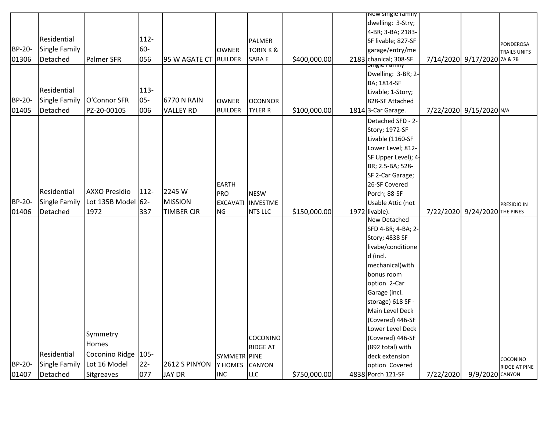|        |                      |                       |         |                       |                 |                    |              | <mark>new single ramily</mark> |           |                               |                  |
|--------|----------------------|-----------------------|---------|-----------------------|-----------------|--------------------|--------------|--------------------------------|-----------|-------------------------------|------------------|
|        |                      |                       |         |                       |                 |                    |              | dwelling: 3-Stry;              |           |                               |                  |
|        |                      |                       |         |                       |                 |                    |              | 4-BR; 3-BA; 2183-              |           |                               |                  |
|        | Residential          |                       | $112 -$ |                       |                 | PALMER             |              | SF livable; 827-SF             |           |                               | <b>PONDEROSA</b> |
| BP-20- | Single Family        |                       | 60-     |                       | <b>OWNER</b>    | <b>TORINK&amp;</b> |              | garage/entry/me                |           |                               | TRAILS UNITS     |
| 01306  | Detached             | Palmer SFR            | 056     | 95 W AGATE CT BUILDER |                 | SARA E             | \$400,000.00 | 2183 chanical; 308-SF          |           | 7/14/2020 9/17/2020 7A & 7B   |                  |
|        |                      |                       |         |                       |                 |                    |              | <b>Single Failiny</b>          |           |                               |                  |
|        |                      |                       |         |                       |                 |                    |              | Dwelling: 3-BR; 2-             |           |                               |                  |
|        |                      |                       |         |                       |                 |                    |              | BA; 1814-SF                    |           |                               |                  |
|        | Residential          |                       | $113 -$ |                       |                 |                    |              | Livable; 1-Story;              |           |                               |                  |
| BP-20- | <b>Single Family</b> | O'Connor SFR          | $05 -$  | 6770 N RAIN           | <b>OWNER</b>    | <b>OCONNOR</b>     |              | 828-SF Attached                |           |                               |                  |
| 01405  | Detached             | PZ-20-00105           | 006     | <b>VALLEY RD</b>      | <b>BUILDER</b>  | <b>TYLER R</b>     | \$100,000.00 | 1814 3-Car Garage.             |           | 7/22/2020 9/15/2020 N/A       |                  |
|        |                      |                       |         |                       |                 |                    |              | Detached SFD - 2-              |           |                               |                  |
|        |                      |                       |         |                       |                 |                    |              | Story; 1972-SF                 |           |                               |                  |
|        |                      |                       |         |                       |                 |                    |              | Livable (1160-SF               |           |                               |                  |
|        |                      |                       |         |                       |                 |                    |              | Lower Level; 812-              |           |                               |                  |
|        |                      |                       |         |                       |                 |                    |              | SF Upper Level); 4-            |           |                               |                  |
|        |                      |                       |         |                       |                 |                    |              | BR; 2.5-BA; 528-               |           |                               |                  |
|        |                      |                       |         |                       |                 |                    |              | SF 2-Car Garage;               |           |                               |                  |
|        |                      |                       |         |                       | <b>EARTH</b>    |                    |              | 26-SF Covered                  |           |                               |                  |
|        | Residential          | <b>AXXO Presidio</b>  | 112-    | 2245 W                | <b>PRO</b>      | <b>NESW</b>        |              | Porch; 88-SF                   |           |                               |                  |
| BP-20- | <b>Single Family</b> | Lot 135B Model 62-    |         | <b>MISSION</b>        | <b>EXCAVATI</b> | <b>INVESTME</b>    |              | Usable Attic (not              |           |                               | PRESIDIO IN      |
| 01406  | Detached             | 1972                  | 337     | <b>TIMBER CIR</b>     | NG              | <b>NTS LLC</b>     | \$150,000.00 | 1972 livable).                 |           | 7/22/2020 9/24/2020 THE PINES |                  |
|        |                      |                       |         |                       |                 |                    |              | New Detached                   |           |                               |                  |
|        |                      |                       |         |                       |                 |                    |              | SFD 4-BR; 4-BA; 2-             |           |                               |                  |
|        |                      |                       |         |                       |                 |                    |              | Story; 4838 SF                 |           |                               |                  |
|        |                      |                       |         |                       |                 |                    |              | livabe/conditione              |           |                               |                  |
|        |                      |                       |         |                       |                 |                    |              | d (incl.                       |           |                               |                  |
|        |                      |                       |         |                       |                 |                    |              | mechanical) with               |           |                               |                  |
|        |                      |                       |         |                       |                 |                    |              | bonus room                     |           |                               |                  |
|        |                      |                       |         |                       |                 |                    |              | option 2-Car                   |           |                               |                  |
|        |                      |                       |         |                       |                 |                    |              | Garage (incl.                  |           |                               |                  |
|        |                      |                       |         |                       |                 |                    |              | storage) 618 SF -              |           |                               |                  |
|        |                      |                       |         |                       |                 |                    |              | Main Level Deck                |           |                               |                  |
|        |                      |                       |         |                       |                 |                    |              | (Covered) 446-SF               |           |                               |                  |
|        |                      |                       |         |                       |                 |                    |              | Lower Level Deck               |           |                               |                  |
|        |                      | Symmetry              |         |                       |                 | COCONINO           |              | (Covered) 446-SF               |           |                               |                  |
|        |                      | Homes                 |         |                       |                 | <b>RIDGE AT</b>    |              | (892 total) with               |           |                               |                  |
|        | Residential          | Coconino Ridge   105- |         |                       | SYMMETR PINE    |                    |              | deck extension                 |           |                               | COCONINO         |
| BP-20- | <b>Single Family</b> | Lot 16 Model          | $22 -$  | <b>2612 S PINYON</b>  | Y HOMES         | <b>CANYON</b>      |              | option Covered                 |           |                               | RIDGE AT PINE    |
| 01407  | Detached             | Sitgreaves            | 077     | JAY DR                | <b>INC</b>      | <b>LLC</b>         | \$750,000.00 | 4838 Porch 121-SF              | 7/22/2020 | 9/9/2020 CANYON               |                  |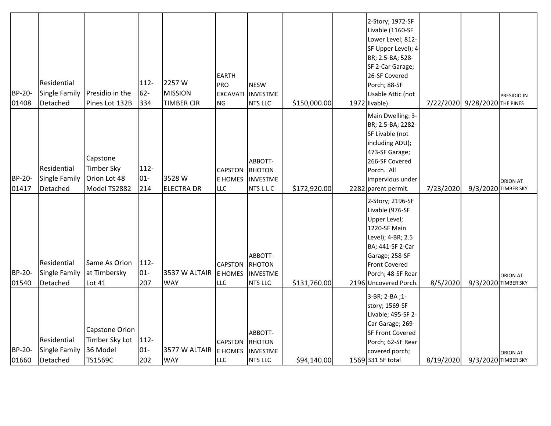| BP-20-<br>01408        | Residential<br><b>Single Family</b><br>Detached | Presidio in the<br>Pines Lot 132B                             | $112 -$<br>$62 -$<br>334 | 2257W<br><b>MISSION</b><br><b>TIMBER CIR</b> | <b>EARTH</b><br><b>PRO</b><br><b>EXCAVATI</b><br>NG | <b>NESW</b><br><b>INVESTME</b><br><b>NTS LLC</b>       | \$150,000.00 | 2-Story; 1972-SF<br>Livable (1160-SF<br>Lower Level; 812-<br>SF Upper Level); 4-<br>BR; 2.5-BA; 528-<br>SF 2-Car Garage;<br>26-SF Covered<br>Porch; 88-SF<br>Usable Attic (not<br>1972 livable).    |           | 7/22/2020 9/28/2020 THE PINES | PRESIDIO IN     |
|------------------------|-------------------------------------------------|---------------------------------------------------------------|--------------------------|----------------------------------------------|-----------------------------------------------------|--------------------------------------------------------|--------------|-----------------------------------------------------------------------------------------------------------------------------------------------------------------------------------------------------|-----------|-------------------------------|-----------------|
| <b>BP-20-</b><br>01417 | Residential<br><b>Single Family</b><br>Detached | Capstone<br><b>Timber Sky</b><br>Orion Lot 48<br>Model TS2882 | $112 -$<br>$01 -$<br>214 | 3528 W<br><b>ELECTRA DR</b>                  | <b>CAPSTON</b><br><b>E HOMES</b><br><b>LLC</b>      | ABBOTT-<br>RHOTON<br><b>INVESTME</b><br><b>NTSLLC</b>  | \$172,920.00 | Main Dwelling: 3-<br>BR; 2.5-BA; 2282-<br>SF Livable (not<br>including ADU);<br>473-SF Garage;<br>266-SF Covered<br>Porch. All<br>impervious under<br>2282 parent permit.                           | 7/23/2020 | 9/3/2020 TIMBER SKY           | <b>ORION AT</b> |
| <b>BP-20-</b><br>01540 | Residential<br><b>Single Family</b><br>Detached | Same As Orion<br>at Timbersky<br>Lot 41                       | $112 -$<br>$01-$<br>207  | 3537 W ALTAIR<br><b>WAY</b>                  | <b>CAPSTON</b><br>E HOMES<br>LLC                    | ABBOTT-<br>RHOTON<br><b>INVESTME</b><br><b>NTS LLC</b> | \$131,760.00 | 2-Story; 2196-SF<br>Livable (976-SF<br>Upper Level;<br>1220-SF Main<br>Level); 4-BR; 2.5<br>BA; 441-SF 2-Car<br>Garage; 258-SF<br><b>Front Covered</b><br>Porch; 48-SF Rear<br>2196 Uncovered Porch | 8/5/2020  | 9/3/2020 TIMBER SKY           | <b>ORION AT</b> |
| BP-20-<br>01660        | Residential<br><b>Single Family</b><br>Detached | Capstone Orion<br>Timber Sky Lot<br>36 Model<br>TS1569C       | $112 -$<br>$01 -$<br>202 | 3577 W ALTAIR<br><b>WAY</b>                  | <b>CAPSTON</b><br><b>E</b> HOMES<br><b>LLC</b>      | ABBOTT-<br>RHOTON<br><b>INVESTME</b><br><b>NTS LLC</b> | \$94,140.00  | 3-BR; 2-BA; 1-<br>story; 1569-SF<br>Livable; 495-SF 2-<br>Car Garage; 269-<br><b>SF Front Covered</b><br>Porch; 62-SF Rear<br>covered porch;<br>1569 331 SF total                                   | 8/19/2020 | 9/3/2020 TIMBER SKY           | <b>ORION AT</b> |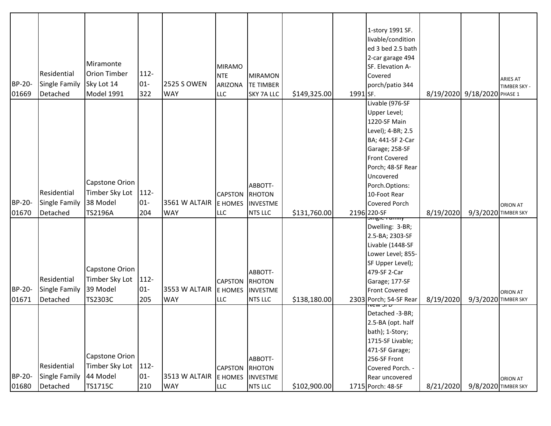|        |                                     |                                              |                |                    |                                  |                                             |              |          | 1-story 1991 SF.                                                                                                                                    |           |                             |                 |
|--------|-------------------------------------|----------------------------------------------|----------------|--------------------|----------------------------------|---------------------------------------------|--------------|----------|-----------------------------------------------------------------------------------------------------------------------------------------------------|-----------|-----------------------------|-----------------|
|        |                                     |                                              |                |                    |                                  |                                             |              |          | livable/condition                                                                                                                                   |           |                             |                 |
|        |                                     |                                              |                |                    |                                  |                                             |              |          | ed 3 bed 2.5 bath                                                                                                                                   |           |                             |                 |
|        |                                     | Miramonte                                    |                |                    |                                  |                                             |              |          | 2-car garage 494                                                                                                                                    |           |                             |                 |
|        | Residential                         | <b>Orion Timber</b>                          | $112 -$        |                    | <b>MIRAMO</b>                    |                                             |              |          | SF. Elevation A-                                                                                                                                    |           |                             |                 |
|        |                                     |                                              |                |                    | <b>NTE</b>                       | <b>MIRAMON</b>                              |              |          | Covered                                                                                                                                             |           |                             | <b>ARIES AT</b> |
| BP-20- | <b>Single Family</b>                | Sky Lot 14                                   | $01 -$         | <b>2525 S OWEN</b> | <b>ARIZONA</b>                   | <b>TE TIMBER</b>                            |              |          | porch/patio 344                                                                                                                                     |           |                             | TIMBER SKY -    |
| 01669  | Detached                            | Model 1991                                   | 322            | <b>WAY</b>         | <b>LLC</b>                       | <b>SKY 7A LLC</b>                           | \$149,325.00 | 1991 SF. |                                                                                                                                                     |           | 8/19/2020 9/18/2020 PHASE 1 |                 |
|        |                                     |                                              |                |                    |                                  |                                             |              |          | Livable (976-SF                                                                                                                                     |           |                             |                 |
|        |                                     |                                              |                |                    |                                  |                                             |              |          | Upper Level;                                                                                                                                        |           |                             |                 |
|        |                                     |                                              |                |                    |                                  |                                             |              |          | 1220-SF Main                                                                                                                                        |           |                             |                 |
|        |                                     |                                              |                |                    |                                  |                                             |              |          | Level); 4-BR; 2.5<br>BA; 441-SF 2-Car                                                                                                               |           |                             |                 |
|        |                                     |                                              |                |                    |                                  |                                             |              |          | Garage; 258-SF                                                                                                                                      |           |                             |                 |
|        |                                     |                                              |                |                    |                                  |                                             |              |          | <b>Front Covered</b>                                                                                                                                |           |                             |                 |
|        |                                     |                                              |                |                    |                                  |                                             |              |          | Porch; 48-SF Rear                                                                                                                                   |           |                             |                 |
|        |                                     |                                              |                |                    |                                  |                                             |              |          | Uncovered                                                                                                                                           |           |                             |                 |
|        |                                     | Capstone Orion                               |                |                    |                                  | ABBOTT-                                     |              |          | Porch.Options:                                                                                                                                      |           |                             |                 |
|        | Residential                         | Timber Sky Lot   112-                        |                |                    | <b>CAPSTON</b>                   | <b>RHOTON</b>                               |              |          | 10-Foot Rear                                                                                                                                        |           |                             |                 |
| BP-20- | Single Family                       | 38 Model                                     | $01 -$         | 3561 W ALTAIR      | E HOMES                          | <b>INVESTME</b>                             |              |          | Covered Porch                                                                                                                                       |           |                             | <b>ORION AT</b> |
| 01670  | Detached                            | TS2196A                                      | 204            | <b>WAY</b>         | <b>LLC</b>                       | <b>NTS LLC</b>                              | \$131,760.00 |          | 2196 220-SF                                                                                                                                         | 8/19/2020 | 9/3/2020 TIMBER SKY         |                 |
|        |                                     |                                              |                |                    |                                  |                                             |              |          | <del>əmgic ranmy</del>                                                                                                                              |           |                             |                 |
|        |                                     |                                              |                |                    |                                  |                                             |              |          | Dwelling: 3-BR;                                                                                                                                     |           |                             |                 |
|        |                                     |                                              |                |                    |                                  |                                             |              |          | 2.5-BA; 2303-SF                                                                                                                                     |           |                             |                 |
|        |                                     |                                              |                |                    |                                  |                                             |              |          | Livable (1448-SF                                                                                                                                    |           |                             |                 |
|        |                                     |                                              |                |                    |                                  |                                             |              |          | Lower Level; 855-<br>SF Upper Level);                                                                                                               |           |                             |                 |
|        |                                     | Capstone Orion                               |                |                    |                                  | ABBOTT-                                     |              |          | 479-SF 2-Car                                                                                                                                        |           |                             |                 |
|        | <b>Residential</b>                  | Timber Sky Lot   112-                        |                |                    | <b>CAPSTON</b>                   | RHOTON                                      |              |          | Garage; 177-SF                                                                                                                                      |           |                             |                 |
| BP-20- | <b>Single Family</b>                | 39 Model                                     | $01 -$         | 3553 W ALTAIR      | <b>E HOMES</b>                   | <b>INVESTME</b>                             |              |          | <b>Front Covered</b>                                                                                                                                |           |                             |                 |
| 01671  | Detached                            | TS2303C                                      | 205            | <b>WAY</b>         | <b>LLC</b>                       | <b>NTS LLC</b>                              | \$138,180.00 |          | 2303 Porch; 54-SF Rear                                                                                                                              | 8/19/2020 | 9/3/2020 TIMBER SKY         | ORION AT        |
|        |                                     |                                              |                |                    |                                  |                                             |              |          | ਕਰ ਕਾਰ                                                                                                                                              |           |                             |                 |
|        |                                     |                                              |                |                    |                                  |                                             |              |          |                                                                                                                                                     |           |                             |                 |
|        |                                     |                                              |                |                    |                                  |                                             |              |          |                                                                                                                                                     |           |                             |                 |
|        |                                     |                                              |                |                    |                                  |                                             |              |          |                                                                                                                                                     |           |                             |                 |
|        |                                     |                                              |                |                    |                                  |                                             |              |          |                                                                                                                                                     |           |                             |                 |
|        |                                     |                                              |                |                    |                                  |                                             |              |          |                                                                                                                                                     |           |                             |                 |
|        |                                     |                                              |                |                    |                                  |                                             |              |          |                                                                                                                                                     |           |                             |                 |
|        |                                     |                                              |                |                    |                                  |                                             |              |          |                                                                                                                                                     |           |                             |                 |
| 01680  | Detached                            | <b>TS1715C</b>                               | 210            | <b>WAY</b>         | LLC                              | NTS LLC                                     | \$102,900.00 |          | 1715 Porch: 48-SF                                                                                                                                   | 8/21/2020 | 9/8/2020 TIMBER SKY         |                 |
| BP-20- | Residential<br><b>Single Family</b> | Capstone Orion<br>Timber Sky Lot<br>44 Model | 112-<br>$01 -$ | 3513 W ALTAIR      | <b>CAPSTON</b><br><b>E HOMES</b> | ABBOTT-<br><b>RHOTON</b><br><b>INVESTME</b> |              |          | Detached -3-BR;<br>2.5-BA (opt. half<br>bath); 1-Story;<br>1715-SF Livable;<br>471-SF Garage;<br>256-SF Front<br>Covered Porch. -<br>Rear uncovered |           |                             | <b>ORION AT</b> |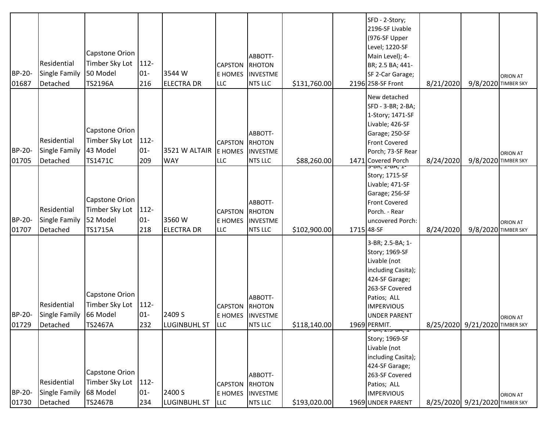| BP-20-<br>01730 | <b>Residential</b><br>Single Family<br>Detached | Capstone Orion<br>Timber Sky Lot<br>68 Model<br><b>TS2467B</b> | 112-<br>$01-$<br>234     | 2400 S<br><b>LUGINBUHL ST</b> | <b>CAPSTON</b><br>E HOMES<br><b>LLC</b> | ABBOTT-<br><b>RHOTON</b><br><b>INVESTME</b><br>NTS LLC  | \$193,020.00 |            | <del>יב ,אט־כ</del> z ,ח <del>ט־כ</del><br>Story; 1969-SF<br>Livable (not<br>including Casita);<br>424-SF Garage;<br>263-SF Covered<br>Patios; ALL<br><b>IMPERVIOUS</b><br>1969 UNDER PARENT |           | 8/25/2020 9/21/2020 TIMBER SKY | <b>ORION AT</b> |
|-----------------|-------------------------------------------------|----------------------------------------------------------------|--------------------------|-------------------------------|-----------------------------------------|---------------------------------------------------------|--------------|------------|----------------------------------------------------------------------------------------------------------------------------------------------------------------------------------------------|-----------|--------------------------------|-----------------|
| BP-20-<br>01729 | Residential<br>Single Family<br>Detached        | Capstone Orion<br>Timber Sky Lot   112-<br>66 Model<br>TS2467A | $01 -$<br>232            | 2409 S<br><b>LUGINBUHL ST</b> | <b>CAPSTON</b><br><b>LLC</b>            | ABBOTT-<br>RHOTON<br>E HOMES INVESTME<br><b>NTS LLC</b> | \$118,140.00 |            | 3-BR; 2.5-BA; 1-<br>Story; 1969-SF<br>Livable (not<br>including Casita);<br>424-SF Garage;<br>263-SF Covered<br>Patios; ALL<br><b>IMPERVIOUS</b><br><b>UNDER PARENT</b><br>1969 PERMIT.      |           | 8/25/2020 9/21/2020 ТІМВЕР SKY | <b>ORION AT</b> |
| BP-20-<br>01707 | Residential<br>Single Family<br>Detached        | Capstone Orion<br>Timber Sky Lot<br>52 Model<br>TS1715A        | $112 -$<br>$01-$<br>218  | 3560W<br><b>ELECTRA DR</b>    | <b>CAPSTON</b><br>E HOMES<br><b>LLC</b> | ABBOTT-<br>RHOTON<br><b>INVESTME</b><br><b>NTS LLC</b>  | \$102,900.00 | 1715 48-SF | כ-1, <i>ב-DA</i><br>Story; 1715-SF<br>Livable; 471-SF<br>Garage; 256-SF<br>Front Covered<br>Porch. - Rear<br>uncovered Porch:                                                                | 8/24/2020 | 9/8/2020 TIMBER SKY            | <b>ORION AT</b> |
| BP-20-<br>01705 | Residential<br>Single Family<br>Detached        | Capstone Orion<br>Timber Sky Lot<br>43 Model<br>TS1471C        | $112 -$<br>$01 -$<br>209 | 3521 W ALTAIR<br><b>WAY</b>   | <b>CAPSTON</b><br>E HOMES<br>LLC        | ABBOTT-<br>RHOTON<br><b>INVESTME</b><br><b>NTS LLC</b>  | \$88,260.00  |            | New detached<br>SFD - 3-BR; 2-BA;<br>1-Story; 1471-SF<br>Livable; 426-SF<br>Garage; 250-SF<br><b>Front Covered</b><br>Porch; 73-SF Rear<br>1471 Covered Porch                                | 8/24/2020 | 9/8/2020 TIMBER SKY            | <b>ORION AT</b> |
| BP-20-<br>01687 | Residential<br>Single Family<br>Detached        | Capstone Orion<br>Timber Sky Lot<br>50 Model<br>TS2196A        | $112 -$<br>$01 -$<br>216 | 3544 W<br><b>ELECTRA DR</b>   | <b>CAPSTON</b><br>E HOMES<br>LLC        | ABBOTT-<br>RHOTON<br><b>INVESTME</b><br><b>NTS LLC</b>  | \$131,760.00 |            | SFD - 2-Story;<br>2196-SF Livable<br>(976-SF Upper<br>Level; 1220-SF<br>Main Level); 4-<br>BR; 2.5 BA; 441-<br>SF 2-Car Garage;<br>2196 258-SF Front                                         | 8/21/2020 | 9/8/2020 TIMBER SKY            | <b>ORION AT</b> |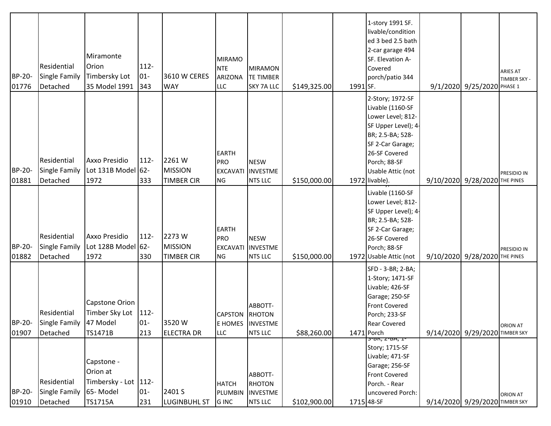| BP-20-<br>01776 | <b>Residential</b><br>Single Family<br>Detached          | Miramonte<br>Orion<br>Timbersky Lot<br>35 Model 1991                    | $112 -$<br>$01 -$<br>343 | 3610 W CERES<br><b>WAY</b>                    | <b>MIRAMO</b><br><b>NTE</b><br>ARIZONA<br>LLC              | <b>MIRAMON</b><br><b>TE TIMBER</b><br><b>SKY 7A LLC</b>        | \$149,325.00 | 1991 SF. | 1-story 1991 SF.<br>livable/condition<br>ed 3 bed 2.5 bath<br>2-car garage 494<br>SF. Elevation A-<br>Covered<br>porch/patio 344                                                                 | 9/1/2020 9/25/2020 PHASE 1     | ARIES AT<br>TIMBER SKY - |
|-----------------|----------------------------------------------------------|-------------------------------------------------------------------------|--------------------------|-----------------------------------------------|------------------------------------------------------------|----------------------------------------------------------------|--------------|----------|--------------------------------------------------------------------------------------------------------------------------------------------------------------------------------------------------|--------------------------------|--------------------------|
| BP-20-<br>01881 | Residential<br>Single Family<br>Detached                 | <b>Axxo Presidio</b><br>Lot 131B Model 62-<br>1972                      | $112 -$<br>333           | 2261W<br><b>MISSION</b><br><b>TIMBER CIR</b>  | <b>EARTH</b><br><b>PRO</b><br><b>EXCAVATI</b><br><b>NG</b> | <b>NESW</b><br><b>INVESTME</b><br><b>NTS LLC</b>               | \$150,000.00 |          | 2-Story; 1972-SF<br>Livable (1160-SF<br>Lower Level; 812-<br>SF Upper Level); 4-<br>BR; 2.5-BA; 528-<br>SF 2-Car Garage;<br>26-SF Covered<br>Porch; 88-SF<br>Usable Attic (not<br>1972 livable). | 9/10/2020 9/28/2020 THE PINES  | PRESIDIO IN              |
| BP-20-<br>01882 | Residential<br>Single Family<br>Detached                 | <b>Axxo Presidio</b><br>Lot 128B Model 62-<br>1972                      | 112-<br>330              | 2273 W<br><b>MISSION</b><br><b>TIMBER CIR</b> | <b>EARTH</b><br>PRO<br><b>EXCAVATI</b><br><b>NG</b>        | <b>NESW</b><br><b>INVESTME</b><br><b>NTS LLC</b>               | \$150,000.00 |          | Livable (1160-SF<br>Lower Level; 812-<br>SF Upper Level); 4-<br>BR; 2.5-BA; 528-<br>SF 2-Car Garage;<br>26-SF Covered<br>Porch; 88-SF<br>1972 Usable Attic (not                                  | 9/10/2020 9/28/2020 THE PINES  | PRESIDIO IN              |
| 01907           | Residential<br>BP-20- Single Family 47 Model<br>Detached | <b>Capstone Orion</b><br>Timber Sky Lot<br>TS1471B                      | $112 -$<br>$01 -$<br>213 | 3520W<br><b>ELECTRA DR</b>                    | <b>CAPSTON</b><br>LLC                                      | ABBOTT-<br><b>RHOTON</b><br>E HOMES INVESTME<br><b>NTS LLC</b> | \$88,260.00  |          | SFD - 3-BR; 2-BA;<br>1-Story; 1471-SF<br>Livable; 426-SF<br>Garage; 250-SF<br><b>Front Covered</b><br>Porch; 233-SF<br>Rear Covered<br>$1471$ Porch                                              | 9/14/2020 9/29/2020 TIMBER SKY | <b>ORION AT</b>          |
| BP-20-<br>01910 | <b>Residential</b><br>Single Family<br>Detached          | Capstone -<br>Orion at<br>Timbersky - Lot   112-<br>65-Model<br>TS1715A | $01 -$<br>231            | 2401 S<br><b>LUGINBUHL ST</b>                 | <b>HATCH</b><br>PLUMBIN<br>G INC                           | ABBOTT-<br><b>RHOTON</b><br><b>INVESTME</b><br><b>NTS LLC</b>  | \$102,900.00 |          | 5-DN, Z-DA, I-<br>Story; 1715-SF<br>Livable; 471-SF<br>Garage; 256-SF<br><b>Front Covered</b><br>Porch. - Rear<br>uncovered Porch:<br>1715 48-SF                                                 | 9/14/2020 9/29/2020 TIMBER SKY | <b>ORION AT</b>          |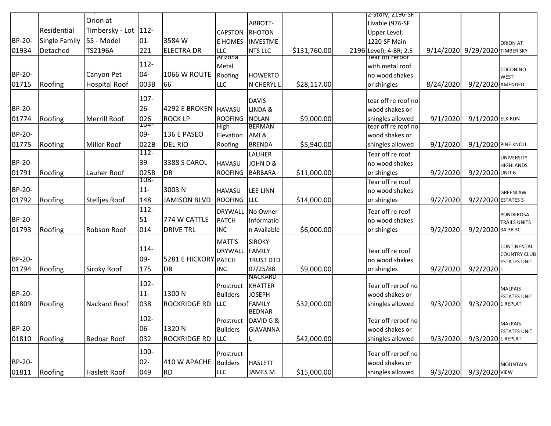|               |               | Orion at             |             |                      |                               | ABBOTT-                       |              | 2-Story; 2196-SF                        |           |                                |                                         |
|---------------|---------------|----------------------|-------------|----------------------|-------------------------------|-------------------------------|--------------|-----------------------------------------|-----------|--------------------------------|-----------------------------------------|
|               | Residential   | Timbersky - Lot 112- |             |                      | <b>CAPSTON</b>                | <b>RHOTON</b>                 |              | Livable (976-SF                         |           |                                |                                         |
| <b>BP-20-</b> | Single Family | 55 - Model           | $01-$       | 3584 W               | <b>E HOMES</b>                | <b>INVESTME</b>               |              | Upper Level;<br>1220-SF Main            |           |                                |                                         |
| 01934         | Detached      | TS2196A              | 221         | <b>ELECTRA DR</b>    | <b>LLC</b>                    | <b>NTS LLC</b>                | \$131,760.00 | 2196 Level); 4-BR; 2.5                  |           | 9/14/2020 9/29/2020 TIMBER SKY | <b>ORION AT</b>                         |
|               |               |                      |             |                      | Arizona                       |                               |              | Tear off reroof                         |           |                                |                                         |
|               |               |                      | $112 -$     |                      | Metal                         |                               |              | with metal roof                         |           |                                | COCONINO                                |
| <b>BP-20-</b> |               | Canyon Pet           | $04 -$      | 1066 W ROUTE         | Roofing                       | <b>HOWERTO</b>                |              | no wood shakes                          |           |                                | <b>WEST</b>                             |
| 01715         | Roofing       | <b>Hospital Roof</b> | 003B        | 66                   | LLC                           | N CHERYL L                    | \$28,117.00  | or shingles                             | 8/24/2020 | 9/2/2020 AMENDED               |                                         |
|               |               |                      | 107-        |                      |                               |                               |              |                                         |           |                                |                                         |
|               |               |                      |             |                      |                               | <b>DAVIS</b>                  |              | tear off re roof no                     |           |                                |                                         |
| BP-20-        |               |                      | $26 -$      | 4292 E BROKEN HAVASU |                               | LINDA &                       |              | wood shakes or                          |           |                                |                                         |
| 01774         | Roofing       | Merrill Roof         | 026<br>IU4. | <b>ROCK LP</b>       | <b>ROOFING</b><br><b>High</b> | <b>NOLAN</b><br><b>BERMAN</b> | \$9,000.00   | shingles allowed<br>tear off re roof no | 9/1/2020  | 9/1/2020 ELK RUN               |                                         |
| BP-20-        |               |                      | 09-         | 136 E PASEO          | Elevation                     | AMI&                          |              | wood shakes or                          |           |                                |                                         |
| 01775         | Roofing       | Miller Roof          | 022B        | <b>DEL RIO</b>       | Roofing                       | <b>BRENDA</b>                 | \$5,940.00   | shingles allowed                        | 9/1/2020  | 9/1/2020 PINE KNOLL            |                                         |
|               |               |                      | $112 -$     |                      |                               | LAUHER                        |              | Tear off re roof                        |           |                                |                                         |
| <b>BP-20-</b> |               |                      | $39 -$      | 3388 S CAROL         | <b>HAVASU</b>                 | JOHN D &                      |              | no wood shakes                          |           |                                | <b>UNIVERSITY</b><br><b>HIGHLANDS</b>   |
| 01791         | Roofing       | Lauher Roof          | 025B        | <b>DR</b>            | <b>ROOFING</b>                | <b>BARBARA</b>                | \$11,000.00  | or shingles                             | 9/2/2020  | 9/2/2020 UNIT 6                |                                         |
|               |               |                      | 108-        |                      |                               |                               |              | Tear off re roof                        |           |                                |                                         |
| BP-20-        |               |                      | $11 -$      | 3003N                | <b>HAVASU</b>                 | LEE-LINN                      |              | no wood shakes                          |           |                                | GREENLAW                                |
| 01792         | Roofing       | <b>Stellies Roof</b> | 148         | <b>JAMISON BLVD</b>  | <b>ROOFING</b>                | <b>LLC</b>                    | \$14,000.00  | or shingles                             | 9/2/2020  | 9/2/2020 ESTATES 3             |                                         |
|               |               |                      | $112 -$     |                      | <b>DRYWALL</b>                | No Owner                      |              | Tear off re roof                        |           |                                |                                         |
| BP-20-        |               |                      | $51-$       | 774 W CATTLE         | <b>PATCH</b>                  | Informatio                    |              | no wood shakes                          |           |                                | <b>PONDEROSA</b><br><b>TRAILS UNITS</b> |
| 01793         | Roofing       | Robson Roof          | 014         | <b>DRIVE TRL</b>     | <b>INC</b>                    | n Available                   | \$6,000.00   | or shingles                             | 9/2/2020  | 9/2/2020 3A 3B 3C              |                                         |
|               |               |                      |             |                      | MATT'S                        | <b>SIROKY</b>                 |              |                                         |           |                                |                                         |
|               |               |                      | $114 -$     |                      | <b>DRYWALL</b>                | <b>FAMILY</b>                 |              | Tear off re roof                        |           |                                | CONTINENTAL                             |
| <b>BP-20-</b> |               |                      | 09-         | 5281 E HICKORY PATCH |                               | <b>TRUST DTD</b>              |              | no wood shakes                          |           |                                | <b>COUNTRY CLUB</b>                     |
| 01794         | Roofing       | <b>Siroky Roof</b>   | 175         | <b>DR</b>            | <b>INC</b>                    | 07/25/88                      | \$9,000.00   | or shingles                             | 9/2/2020  | $9/2/2020$ <sub>1</sub>        | <b>ESTATES UNIT</b>                     |
|               |               |                      |             |                      |                               | <b>NACKARD</b>                |              |                                         |           |                                |                                         |
|               |               |                      | $102 -$     |                      | Prostruct                     | <b>KHATTER</b>                |              | Tear off reroof no                      |           |                                | <b>MALPAIS</b>                          |
| BP-20-        |               |                      | $11 -$      | 1300N                | <b>Builders</b>               | <b>JOSEPH</b>                 |              | wood shakes or                          |           |                                | <b>ESTATES UNIT</b>                     |
| 01809         | Roofing       | Nackard Roof         | 038         | <b>ROCKRIDGE RD</b>  | LLC                           | <b>FAMILY</b>                 | \$32,000.00  | shingles allowed                        | 9/3/2020  | 9/3/2020 1 REPLAT              |                                         |
|               |               |                      |             |                      |                               | <b>BEDNAR</b>                 |              |                                         |           |                                |                                         |
|               |               |                      | $102 -$     |                      |                               | Prostruct DAVID G &           |              | Tear off reroof no                      |           |                                | <b>MALPAIS</b>                          |
| BP-20-        |               |                      | 06-         | 1320N                | <b>Builders</b>               | <b>GIAVANNA</b>               |              | wood shakes or                          |           |                                | <b>ESTATES UNIT</b>                     |
| 01810         | Roofing       | <b>Bednar Roof</b>   | 032         | ROCKRIDGE RD         | LLC                           |                               | \$42,000.00  | shingles allowed                        | 9/3/2020  | 9/3/2020 1 REPLAT              |                                         |
|               |               |                      | 100-        |                      | Prostruct                     |                               |              | Tear off reroof no                      |           |                                |                                         |
| BP-20-        |               |                      | $02 -$      | 410 W APACHE         | <b>Builders</b>               | <b>HASLETT</b>                |              | wood shakes or                          |           |                                | <b>MOUNTAIN</b>                         |
| 01811         | Roofing       | Haslett Roof         | 049         | RD                   | LLC                           | <b>JAMES M</b>                | \$15,000.00  | shingles allowed                        | 9/3/2020  | 9/3/2020 VIEW                  |                                         |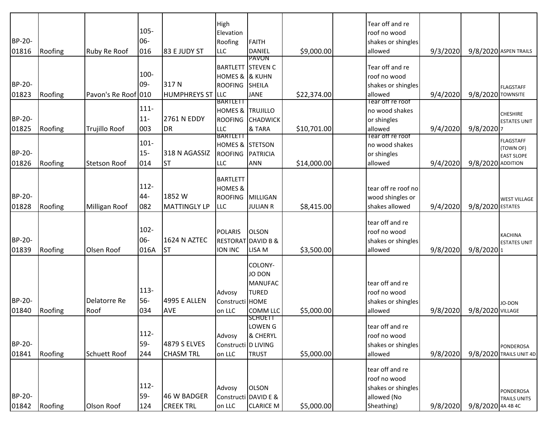|        |         |                      |         |                         | High                                  |                               |             | Tear off and re        |          |                         |                               |
|--------|---------|----------------------|---------|-------------------------|---------------------------------------|-------------------------------|-------------|------------------------|----------|-------------------------|-------------------------------|
|        |         |                      | $105 -$ |                         | Elevation                             |                               |             | roof no wood           |          |                         |                               |
| BP-20- |         |                      | 06-     |                         | Roofing                               | <b>FAITH</b>                  |             | shakes or shingles     |          |                         |                               |
| 01816  | Roofing | <b>Ruby Re Roof</b>  | 016     | 83 E JUDY ST            | <b>LLC</b>                            | <b>DANIEL</b><br>PAVON        | \$9,000.00  | allowed                | 9/3/2020 |                         | 9/8/2020 ASPEN TRAILS         |
|        |         |                      |         |                         | <b>BARTLETT STEVEN C</b>              |                               |             | Tear off and re        |          |                         |                               |
|        |         |                      | 100-    |                         | HOMES & & KUHN                        |                               |             | roof no wood           |          |                         |                               |
| BP-20- |         |                      | 09-     | 317N                    | ROOFING                               | <b>SHEILA</b>                 |             | shakes or shingles     |          |                         | <b>FLAGSTAFF</b>              |
| 01823  | Roofing | Pavon's Re Roof 010  |         | <b>HUMPHREYS ST LLC</b> |                                       | <b>JANE</b>                   | \$22,374.00 | allowed                | 9/4/2020 | 9/8/2020 TOWNSITE       |                               |
|        |         |                      | $111 -$ |                         | <b>BARTLETT</b>                       |                               |             | Tear off re roof       |          |                         |                               |
| BP-20- |         |                      | $11 -$  | 2761 N EDDY             | <b>HOMES &amp; TRUJILLO</b>           |                               |             | no wood shakes         |          |                         | <b>CHESHIRE</b>               |
|        |         |                      |         |                         | <b>ROOFING</b><br><b>LLC</b>          | <b>CHADWICK</b><br>& TARA     |             | or shingles<br>allowed |          |                         | <b>ESTATES UNIT</b>           |
| 01825  | Roofing | Trujillo Roof        | 003     | <b>DR</b>               | BARTLETT                              |                               | \$10,701.00 | Tear off re roof       | 9/4/2020 | $9/8/2020$ 7            |                               |
|        |         |                      | $101 -$ |                         | HOMES & STETSON                       |                               |             | no wood shakes         |          |                         | <b>FLAGSTAFF</b><br>(TOWN OF) |
| BP-20- |         |                      | $15 -$  | 318 N AGASSIZ           | <b>ROOFING</b>                        | <b>PATRICIA</b>               |             | or shingles            |          |                         | <b>EAST SLOPE</b>             |
| 01826  | Roofing | <b>Stetson Roof</b>  | 014     | <b>ST</b>               | <b>LLC</b>                            | <b>ANN</b>                    | \$14,000.00 | allowed                | 9/4/2020 | 9/8/2020 ADDITION       |                               |
|        |         |                      |         |                         |                                       |                               |             |                        |          |                         |                               |
|        |         |                      | $112 -$ |                         | <b>BARTLETT</b><br><b>HOMES &amp;</b> |                               |             | tear off re roof no    |          |                         |                               |
| BP-20- |         |                      | 44-     | 1852W                   | <b>ROOFING</b>                        | <b>MILLIGAN</b>               |             | wood shingles or       |          |                         |                               |
| 01828  | Roofing | <b>Milligan Roof</b> | 082     | <b>MATTINGLY LP</b>     | LLC                                   | <b>JULIAN R</b>               | \$8,415.00  | shakes allowed         | 9/4/2020 | 9/8/2020 ESTATES        | <b>WEST VILLAGE</b>           |
|        |         |                      |         |                         |                                       |                               |             |                        |          |                         |                               |
|        |         |                      |         |                         |                                       |                               |             | tear off and re        |          |                         |                               |
|        |         |                      | $102 -$ |                         | <b>POLARIS</b>                        | <b>OLSON</b>                  |             | roof no wood           |          |                         | <b>KACHINA</b>                |
| BP-20- |         |                      | 06-     | 1624 N AZTEC            |                                       | <b>RESTORAT DAVID B &amp;</b> |             | shakes or shingles     |          |                         | <b>ESTATES UNIT</b>           |
| 01839  | Roofing | Olsen Roof           | 016A    | <b>ST</b>               | ION INC                               | LISA M                        | \$3,500.00  | allowed                | 9/8/2020 | $9/8/2020$ <sup>1</sup> |                               |
|        |         |                      |         |                         |                                       | COLONY-                       |             |                        |          |                         |                               |
|        |         |                      |         |                         |                                       | JO DON                        |             |                        |          |                         |                               |
|        |         |                      |         |                         |                                       | <b>MANUFAC</b>                |             | tear off and re        |          |                         |                               |
|        |         |                      | $113 -$ |                         | Advosy                                | <b>TURED</b>                  |             | roof no wood           |          |                         |                               |
| BP-20- |         | Delatorre Re         | $56-$   | <b>4995 E ALLEN</b>     | Constructi HOME                       |                               |             | shakes or shingles     |          |                         | JO-DON                        |
| 01840  | Roofing | Roof                 | 034     | <b>AVE</b>              | on LLC                                | <b>COMM LLC</b>               | \$5,000.00  | allowed                | 9/8/2020 | 9/8/2020 VILLAGE        |                               |
|        |         |                      |         |                         |                                       | <b>SCHUETT</b><br>LOWEN G     |             | tear off and re        |          |                         |                               |
|        |         |                      | $112 -$ |                         | Advosy                                | & CHERYL                      |             | roof no wood           |          |                         |                               |
| BP-20- |         |                      | 59-     | 4879 S ELVES            | Constructi D LIVING                   |                               |             | shakes or shingles     |          |                         | <b>PONDEROSA</b>              |
| 01841  | Roofing | <b>Schuett Roof</b>  | 244     | <b>CHASM TRL</b>        | on LLC                                | <b>TRUST</b>                  | \$5,000.00  | allowed                | 9/8/2020 |                         | 9/8/2020 TRAILS UNIT 4D       |
|        |         |                      |         |                         |                                       |                               |             |                        |          |                         |                               |
|        |         |                      |         |                         |                                       |                               |             | tear off and re        |          |                         |                               |
|        |         |                      | $112 -$ |                         |                                       |                               |             | roof no wood           |          |                         |                               |
| BP-20- |         |                      | 59-     | 46 W BADGER             | Advosy                                | <b>OLSON</b>                  |             | shakes or shingles     |          |                         | <b>PONDEROSA</b>              |
| 01842  |         |                      |         |                         |                                       | Constructi DAVID E &          |             | allowed (No            |          |                         | <b>TRAILS UNITS</b>           |
|        | Roofing | Olson Roof           | 124     | <b>CREEK TRL</b>        | on LLC                                | <b>CLARICE M</b>              | \$5,000.00  | Sheathing)             | 9/8/2020 | 9/8/2020 4A 4B 4C       |                               |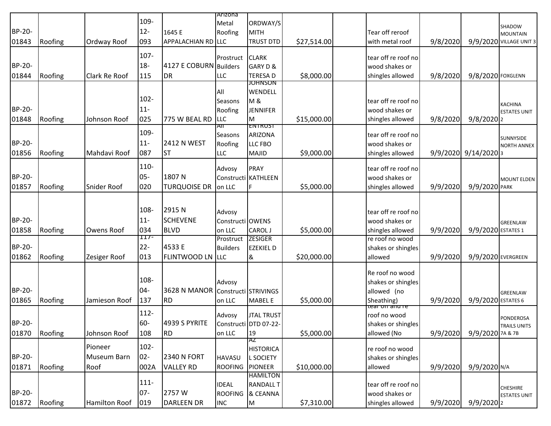|               |         |                      |         |                        | Arizona          |                           |             |                            |          |                          |                           |
|---------------|---------|----------------------|---------|------------------------|------------------|---------------------------|-------------|----------------------------|----------|--------------------------|---------------------------|
|               |         |                      | 109-    |                        | Metal            | ORDWAY/S                  |             |                            |          |                          |                           |
| BP-20-        |         |                      | $12 -$  | 1645 E                 | Roofing          | <b>MITH</b>               |             | Tear off reroof            |          |                          | SHADOW<br><b>MOUNTAIN</b> |
| 01843         | Roofing | Ordway Roof          | 093     | APPALACHIAN RD LLC     |                  | <b>TRUST DTD</b>          | \$27,514.00 | with metal roof            | 9/8/2020 |                          | 9/9/2020 VILLAGE UNIT 3   |
|               |         |                      |         |                        |                  |                           |             |                            |          |                          |                           |
|               |         |                      | 107-    |                        | Prostruct        | <b>CLARK</b>              |             | tear off re roof no        |          |                          |                           |
| BP-20-        |         |                      | $18-$   | 4127 E COBURN Builders |                  | GARY D &                  |             | wood shakes or             |          |                          |                           |
| 01844         | Roofing | <b>Clark Re Roof</b> | 115     | DR                     | LLC              | <b>TERESAD</b>            | \$8,000.00  | shingles allowed           | 9/8/2020 | 9/8/2020 FOXGLENN        |                           |
|               |         |                      |         |                        |                  | <b>JOHNSON</b><br>WENDELL |             |                            |          |                          |                           |
|               |         |                      | $102 -$ |                        | All<br>Seasons   | <b>M&amp;</b>             |             | tear off re roof no        |          |                          |                           |
| BP-20-        |         |                      | $11 -$  |                        | Roofing          | <b>JENNIFER</b>           |             | wood shakes or             |          |                          | <b>KACHINA</b>            |
| 01848         | Roofing | Johnson Roof         | 025     | 775 W BEAL RD          | LLC              | M                         | \$15,000.00 | shingles allowed           | 9/8/2020 | $9/8/2020$ <sub>2</sub>  | <b>ESTATES UNIT</b>       |
|               |         |                      |         |                        | All              | <b>ENTRUST</b>            |             |                            |          |                          |                           |
|               |         |                      | 109-    |                        | Seasons          | ARIZONA                   |             | tear off re roof no        |          |                          | SUNNYSIDE                 |
| BP-20-        |         |                      | $11 -$  | <b>2412 N WEST</b>     | Roofing          | LLC FBO                   |             | wood shakes or             |          |                          | <b>NORTH ANNEX</b>        |
| 01856         | Roofing | Mahdavi Roof         | 087     | lst                    | LLC              | <b>MAJID</b>              | \$9,000.00  | shingles allowed           |          | $9/9/2020$ $9/14/2020$ 3 |                           |
|               |         |                      | 110-    |                        | Advosy           | <b>PRAY</b>               |             | tear off re roof no        |          |                          |                           |
| BP-20-        |         |                      | $05 -$  | 1807N                  |                  | Constructi KATHLEEN       |             | wood shakes or             |          |                          |                           |
| 01857         | Roofing | Snider Roof          | 020     | <b>TURQUOISE DR</b>    | on LLC           | F                         | \$5,000.00  | shingles allowed           | 9/9/2020 | 9/9/2020 PARK            | <b>MOUNT ELDEN</b>        |
|               |         |                      |         |                        |                  |                           |             |                            |          |                          |                           |
|               |         |                      |         |                        |                  |                           |             |                            |          |                          |                           |
|               |         |                      | 108-    | 2915N                  | Advosy           |                           |             | tear off re roof no        |          |                          |                           |
| BP-20-        |         |                      | $11 -$  | <b>SCHEVENE</b>        | Constructi OWENS |                           |             | wood shakes or             |          |                          | <b>GREENLAW</b>           |
| 01858         | Roofing | Owens Roof           | 034     | BLVD                   | on LLC           | CAROL J                   | \$5,000.00  | shingles allowed           | 9/9/2020 | 9/9/2020 ESTATES 1       |                           |
|               |         |                      | II/-    |                        | Prostruct        | <b>ZESIGER</b>            |             | re roof no wood            |          |                          |                           |
| BP-20-        |         |                      | $22 -$  | 4533 E                 | <b>Builders</b>  | <b>EZEKIEL D</b>          |             | shakes or shingles         |          |                          |                           |
| 01862         | Roofing | Zesiger Roof         | 013     | FLINTWOOD LN LLC       |                  | &                         | \$20,000.00 | allowed                    | 9/9/2020 | 9/9/2020 EVERGREEN       |                           |
|               |         |                      |         |                        |                  |                           |             | Re roof no wood            |          |                          |                           |
|               |         |                      | 108-    |                        | Advosy           |                           |             | shakes or shingles         |          |                          |                           |
| BP-20-        |         |                      | 04-     | 3628 N MANOR           |                  | Constructi STRIVINGS      |             | allowed (no                |          |                          | <b>GREENLAW</b>           |
| 01865         | Roofing | Jamieson Roof        | 137     | RD.                    | on LLC           | <b>MABEL E</b>            | \$5,000.00  | Sheathing)                 | 9/9/2020 | 9/9/2020 ESTATES 6       |                           |
|               |         |                      |         |                        |                  |                           |             | t <del>ear on anu re</del> |          |                          |                           |
|               |         |                      | $112 -$ |                        | Advosy           | <b>JTAL TRUST</b>         |             | roof no wood               |          |                          | PONDEROSA                 |
| <b>BP-20-</b> |         |                      | 60-     | 4939 S PYRITE          |                  | Constructi DTD 07-22-     |             | shakes or shingles         |          |                          | <b>TRAILS UNITS</b>       |
| 01870         | Roofing | Johnson Roof         | 108     | RD.                    | on LLC           | 19<br>ΆZ                  | \$5,000.00  | allowed (No                | 9/9/2020 | 9/9/2020 7A & 7B         |                           |
|               |         | Pioneer              | $102 -$ |                        |                  | <b>HISTORICA</b>          |             | re roof no wood            |          |                          |                           |
| BP-20-        |         | <b>Museum Barn</b>   | $02 -$  | <b>2340 N FORT</b>     | <b>HAVASU</b>    | <b>L SOCIETY</b>          |             | shakes or shingles         |          |                          |                           |
| 01871         | Roofing | Roof                 | 002A    | <b>VALLEY RD</b>       | <b>ROOFING</b>   | <b>PIONEER</b>            | \$10,000.00 | allowed                    | 9/9/2020 | 9/9/2020 N/A             |                           |
|               |         |                      |         |                        |                  | <b>HAMILTON</b>           |             |                            |          |                          |                           |
|               |         |                      | $111 -$ |                        | <b>IDEAL</b>     | <b>RANDALL T</b>          |             | tear off re roof no        |          |                          | <b>CHESHIRE</b>           |
| BP-20-        |         |                      | $07 -$  | 2757W                  | <b>ROOFING</b>   | & CEANNA                  |             | wood shakes or             |          |                          | <b>ESTATES UNIT</b>       |
| 01872         | Roofing | Hamilton Roof        | 019     | DARLEEN DR             | <b>INC</b>       | M                         | \$7,310.00  | shingles allowed           | 9/9/2020 | $9/9/2020$ <sub>2</sub>  |                           |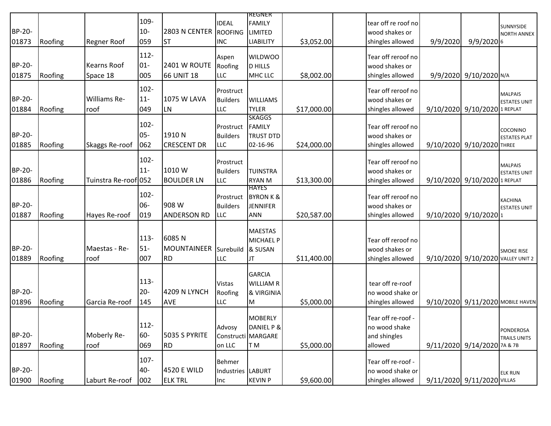|        |         |                       |         |                       |                   | <u>REGNER</u>        |             |                     |          |                                   |                                       |
|--------|---------|-----------------------|---------|-----------------------|-------------------|----------------------|-------------|---------------------|----------|-----------------------------------|---------------------------------------|
|        |         |                       | 109-    |                       | <b>IDEAL</b>      | <b>FAMILY</b>        |             | tear off re roof no |          |                                   |                                       |
| BP-20- |         |                       | $10-$   | 2803 N CENTER ROOFING |                   | <b>LIMITED</b>       |             | wood shakes or      |          |                                   | SUNNYSIDE                             |
| 01873  | Roofing | <b>Regner Roof</b>    | 059     | lst                   | <b>INC</b>        | <b>LIABILITY</b>     | \$3,052.00  | shingles allowed    | 9/9/2020 | 9/9/20206                         | <b>NORTH ANNEX</b>                    |
|        |         |                       |         |                       |                   |                      |             |                     |          |                                   |                                       |
|        |         |                       | $112 -$ |                       | Aspen             | <b>WILDWOO</b>       |             | Tear off reroof no  |          |                                   |                                       |
| BP-20- |         | Kearns Roof           | $01-$   | <b>2401 W ROUTE</b>   | Roofing           | <b>D HILLS</b>       |             | wood shakes or      |          |                                   |                                       |
| 01875  | Roofing | Space 18              | 005     | 66 UNIT 18            | LLC               | MHC LLC              | \$8,002.00  | shingles allowed    |          | 9/9/2020 9/10/2020 N/A            |                                       |
|        |         |                       |         |                       |                   |                      |             |                     |          |                                   |                                       |
|        |         |                       | $102 -$ |                       | Prostruct         |                      |             | Tear off reroof no  |          |                                   |                                       |
| BP-20- |         | <b>Williams Re-</b>   | $11 -$  | 1075 W LAVA           | <b>Builders</b>   | <b>WILLIAMS</b>      |             | wood shakes or      |          |                                   | <b>MALPAIS</b><br><b>ESTATES UNIT</b> |
| 01884  | Roofing | roof                  | 049     | ILN                   | <b>LLC</b>        | <b>TYLER</b>         | \$17,000.00 | shingles allowed    |          | 9/10/2020 9/10/2020 1 REPLAT      |                                       |
|        |         |                       |         |                       |                   | <b>SKAGGS</b>        |             |                     |          |                                   |                                       |
|        |         |                       | $102 -$ |                       | Prostruct         | <b>FAMILY</b>        |             | Tear off reroof no  |          |                                   |                                       |
| BP-20- |         |                       | $05 -$  | 1910N                 | <b>Builders</b>   | <b>TRUST DTD</b>     |             | wood shakes or      |          |                                   | COCONINO<br><b>ESTATES PLAT</b>       |
| 01885  | Roofing | <b>Skaggs Re-roof</b> | 062     | <b>CRESCENT DR</b>    | <b>LLC</b>        | 02-16-96             | \$24,000.00 | shingles allowed    |          | 9/10/2020 9/10/2020 THREE         |                                       |
|        |         |                       |         |                       |                   |                      |             |                     |          |                                   |                                       |
|        |         |                       | $102 -$ |                       | Prostruct         |                      |             | Tear off reroof no  |          |                                   |                                       |
| BP-20- |         |                       | $11-$   | 1010 W                | <b>Builders</b>   | <b>TUINSTRA</b>      |             | wood shakes or      |          |                                   | <b>MALPAIS</b><br><b>ESTATES UNIT</b> |
| 01886  | Roofing | Tuinstra Re-roof 052  |         | <b>BOULDER LN</b>     | <b>LLC</b>        | <b>RYAN M</b>        | \$13,300.00 | shingles allowed    |          | 9/10/2020 9/10/2020 1 REPLAT      |                                       |
|        |         |                       |         |                       |                   | <b>HAYES</b>         |             |                     |          |                                   |                                       |
|        |         |                       | $102 -$ |                       | Prostruct         | <b>BYRON K &amp;</b> |             | Tear off reroof no  |          |                                   |                                       |
| BP-20- |         |                       | 06-     | 908 W                 | <b>Builders</b>   | JENNIFER             |             | wood shakes or      |          |                                   | <b>KACHINA</b><br><b>ESTATES UNIT</b> |
| 01887  | Roofing | Hayes Re-roof         | 019     | <b>ANDERSON RD</b>    | <b>LLC</b>        | <b>ANN</b>           | \$20,587.00 | shingles allowed    |          | 9/10/2020 9/10/2020 1             |                                       |
|        |         |                       |         |                       |                   |                      |             |                     |          |                                   |                                       |
|        |         |                       |         |                       |                   | <b>MAESTAS</b>       |             |                     |          |                                   |                                       |
|        |         |                       | $113 -$ | 6085N                 |                   | <b>MICHAEL P</b>     |             | Tear off reroof no  |          |                                   |                                       |
| BP-20- |         | Maestas - Re-         | $51-$   | MOUNTAINEER Surebuild |                   | & SUSAN              |             | wood shakes or      |          |                                   | <b>SMOKE RISE</b>                     |
| 01889  | Roofing | roof                  | 007     | RD)                   | <b>LLC</b>        | JT                   | \$11,400.00 | shingles allowed    |          | 9/10/2020 9/10/2020 VALLEY UNIT 2 |                                       |
|        |         |                       |         |                       |                   |                      |             |                     |          |                                   |                                       |
|        |         |                       |         |                       |                   | <b>GARCIA</b>        |             |                     |          |                                   |                                       |
|        |         |                       | $113 -$ |                       | <b>Vistas</b>     | <b>WILLIAM R</b>     |             | tear off re-roof    |          |                                   |                                       |
| BP-20- |         |                       | $20 -$  | 4209 N LYNCH          | Roofing           | & VIRGINIA           |             | no wood shake or    |          |                                   |                                       |
| 01896  | Roofing | Garcia Re-roof        | 145     | <b>AVE</b>            | LLC               | M                    | \$5,000.00  | shingles allowed    |          |                                   | 9/10/2020 9/11/2020 МОВІLЕ НАУЕЛ      |
|        |         |                       |         |                       |                   |                      |             |                     |          |                                   |                                       |
|        |         |                       |         |                       |                   | <b>MOBERLY</b>       |             | Tear off re-roof -  |          |                                   |                                       |
|        |         |                       | 112-    |                       | Advosy            | DANIEL P &           |             | no wood shake       |          |                                   | PONDEROSA                             |
| BP-20- |         | Moberly Re-           | 60-     | 5035 S PYRITE         |                   | Constructi MARGARE   |             | and shingles        |          |                                   | <b>TRAILS UNITS</b>                   |
| 01897  | Roofing | roof                  | 069     | <b>RD</b>             | on LLC            | T <sub>M</sub>       | \$5,000.00  | allowed             |          | 9/11/2020 9/14/2020 7A & 7B       |                                       |
|        |         |                       |         |                       |                   |                      |             |                     |          |                                   |                                       |
|        |         |                       | $107 -$ |                       | Behmer            |                      |             | Tear off re-roof -  |          |                                   |                                       |
| BP-20- |         |                       | 40-     | 4520 E WILD           | Industries LABURT |                      |             | no wood shake or    |          |                                   | <b>ELK RUN</b>                        |
| 01900  | Roofing | Laburt Re-roof        | 002     | <b>ELK TRL</b>        | Inc               | <b>KEVIN P</b>       | \$9,600.00  | shingles allowed    |          | 9/11/2020 9/11/2020 VILLAS        |                                       |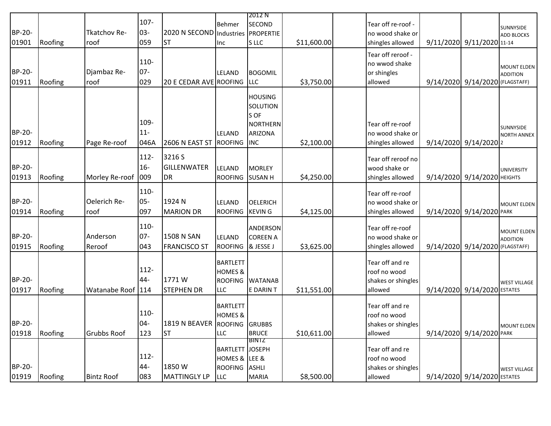|               |         |                   |         |                                    |                        | 2012 N           |             |                    |                                 |                                       |
|---------------|---------|-------------------|---------|------------------------------------|------------------------|------------------|-------------|--------------------|---------------------------------|---------------------------------------|
|               |         |                   | $107 -$ |                                    | <b>Behmer</b>          | <b>SECOND</b>    |             | Tear off re-roof - |                                 | SUNNYSIDE                             |
| BP-20-        |         | Tkatchov Re-      | 03-     | 2020 N SECOND Industries PROPERTIE |                        |                  |             | no wood shake or   |                                 | <b>ADD BLOCKS</b>                     |
| 01901         | Roofing | roof              | 059     | <b>ST</b>                          | Inc.                   | S LLC            | \$11,600.00 | shingles allowed   | 9/11/2020 9/11/2020 11-14       |                                       |
|               |         |                   |         |                                    |                        |                  |             | Tear off reroof -  |                                 |                                       |
|               |         |                   | 110-    |                                    |                        |                  |             | no wwod shake      |                                 |                                       |
| <b>BP-20-</b> |         | Djambaz Re-       | $07 -$  |                                    | <b>LELAND</b>          | <b>BOGOMIL</b>   |             | or shingles        |                                 | <b>MOUNT ELDEN</b><br><b>ADDITION</b> |
| 01911         | Roofing | roof              | 029     | 20 E CEDAR AVE ROOFING             |                        | <b>LLC</b>       | \$3,750.00  | allowed            | 9/14/2020 9/14/2020 (FLAGSTAFF) |                                       |
|               |         |                   |         |                                    |                        |                  |             |                    |                                 |                                       |
|               |         |                   |         |                                    |                        | <b>HOUSING</b>   |             |                    |                                 |                                       |
|               |         |                   |         |                                    |                        | SOLUTION<br>S OF |             |                    |                                 |                                       |
|               |         |                   | 109-    |                                    |                        | <b>NORTHERN</b>  |             | Tear off re-roof   |                                 |                                       |
| BP-20-        |         |                   | $11-$   |                                    | LELAND                 | <b>ARIZONA</b>   |             | no wood shake or   |                                 | SUNNYSIDE                             |
| 01912         | Roofing | Page Re-roof      | 046A    | 2606 N EAST ST                     | <b>ROOFING</b>         | <b>INC</b>       | \$2,100.00  | shingles allowed   | 9/14/2020 9/14/2020 2           | <b>NORTH ANNEX</b>                    |
|               |         |                   |         |                                    |                        |                  |             |                    |                                 |                                       |
|               |         |                   | $112 -$ | 3216 S                             |                        |                  |             | Tear off reroof no |                                 |                                       |
| BP-20-        |         |                   | $16 -$  | <b>GILLENWATER</b>                 | LELAND                 | <b>MORLEY</b>    |             | wood shake or      |                                 | <b>UNIVERSITY</b>                     |
| 01913         | Roofing | Morley Re-roof    | 009     | <b>DR</b>                          | <b>ROOFING</b>         | <b>SUSAN H</b>   | \$4,250.00  | shingles allowed   | 9/14/2020 9/14/2020 HEIGHTS     |                                       |
|               |         |                   | 110-    |                                    |                        |                  |             |                    |                                 |                                       |
| BP-20-        |         | Oelerich Re-      | $05 -$  | 1924 N                             |                        |                  |             | Tear off re-roof   |                                 |                                       |
|               |         |                   |         |                                    | LELAND                 | <b>OELERICH</b>  |             | no wood shake or   |                                 | <b>MOUNT ELDEN</b>                    |
| 01914         | Roofing | roof              | 097     | <b>MARION DR</b>                   | <b>ROOFING</b>         | <b>KEVING</b>    | \$4,125.00  | shingles allowed   | 9/14/2020 9/14/2020 PARK        |                                       |
|               |         |                   | 110-    |                                    |                        | ANDERSON         |             | Tear off re-roof   |                                 |                                       |
| <b>BP-20-</b> |         | Anderson          | 07-     | 1508 N SAN                         | LELAND                 | <b>COREEN A</b>  |             | no wood shake or   |                                 | <b>MOUNT ELDEN</b><br><b>ADDITION</b> |
| 01915         | Roofing | Reroof            | 043     | <b>FRANCISCO ST</b>                | <b>ROOFING</b>         | & JESSE J        | \$3,625.00  | shingles allowed   | 9/14/2020 9/14/2020 (FLAGSTAFF) |                                       |
|               |         |                   |         |                                    |                        |                  |             |                    |                                 |                                       |
|               |         |                   | $112 -$ |                                    | <b>BARTLETT</b>        |                  |             | Tear off and re    |                                 |                                       |
|               |         |                   |         |                                    | <b>HOMES &amp;</b>     |                  |             | roof no wood       |                                 |                                       |
| BP-20-        |         |                   | 44-     | 1771W                              | <b>ROOFING</b>         | <b>WATANAB</b>   |             | shakes or shingles |                                 | <b>WEST VILLAGE</b>                   |
| 01917         | Roofing | Watanabe Roof     | 114     | <b>STEPHEN DR</b>                  | <b>LLC</b>             | E DARIN T        | \$11,551.00 | allowed            | 9/14/2020 9/14/2020 ESTATES     |                                       |
|               |         |                   |         |                                    | <b>BARTLETT</b>        |                  |             | Tear off and re    |                                 |                                       |
|               |         |                   | 110-    |                                    | <b>HOMES &amp;</b>     |                  |             | roof no wood       |                                 |                                       |
| BP-20-        |         |                   | $04 -$  | 1819 N BEAVER ROOFING GRUBBS       |                        |                  |             | shakes or shingles |                                 | <b>MOUNT ELDEN</b>                    |
| 01918         | Roofing | Grubbs Roof       | 123     | <b>ST</b>                          | <b>LLC</b>             | <b>BRUCE</b>     | \$10,611.00 | allowed            | 9/14/2020 9/14/2020 PARK        |                                       |
|               |         |                   |         |                                    |                        | BINTZ            |             |                    |                                 |                                       |
|               |         |                   |         |                                    | <b>BARTLETT JOSEPH</b> |                  |             | Tear off and re    |                                 |                                       |
|               |         |                   | $112 -$ |                                    | HOMES & LEE &          |                  |             | roof no wood       |                                 |                                       |
| <b>BP-20-</b> |         |                   | 44-     | 1850W                              | ROOFING ASHLI          |                  |             | shakes or shingles |                                 | <b>WEST VILLAGE</b>                   |
| 01919         | Roofing | <b>Bintz Roof</b> | 083     | MATTINGLY LP                       | <b>LLC</b>             | <b>MARIA</b>     | \$8,500.00  | allowed            | 9/14/2020 9/14/2020 ESTATES     |                                       |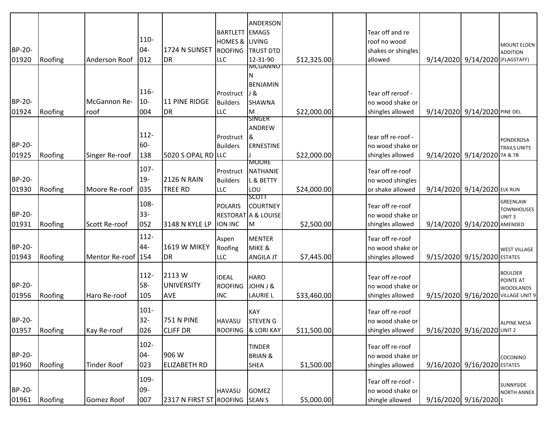| BP-20-<br>01920 | Roofing | Anderson Roof        | 110-<br>$04 -$<br>012    | 1724 N SUNSET<br>DR                       | <b>BARTLETT EMAGS</b><br>HOMES & LIVING<br><b>ROOFING</b><br><b>LLC</b> | ANDERSON<br><b>TRUST DTD</b><br>12-31-90                       | \$12,325.00 | Tear off and re<br>roof no wood<br>shakes or shingles<br>allowed | 9/14/2020 9/14/2020 (FLAGSTAFF) | <b>MOUNT ELDEN</b><br><b>ADDITION</b>                                                 |
|-----------------|---------|----------------------|--------------------------|-------------------------------------------|-------------------------------------------------------------------------|----------------------------------------------------------------|-------------|------------------------------------------------------------------|---------------------------------|---------------------------------------------------------------------------------------|
| BP-20-<br>01924 | Roofing | McGannon Re-<br>roof | 116-<br>$10-$<br>004     | 11 PINE RIDGE<br>DR                       | Prostruct<br>Builders<br><b>LLC</b>                                     | <b>MCGANNO</b><br><b>BENJAMIN</b><br>J &<br><b>SHAWNA</b><br>M | \$22,000.00 | Tear off reroof -<br>no wood shake or<br>shingles allowed        | 9/14/2020 9/14/2020 PINE DEL    |                                                                                       |
| BP-20-<br>01925 | Roofing | Singer Re-roof       | 112-<br>60-<br>138       | 5020 S OPAL RD LLC                        | Prostruct &<br><b>Builders</b>                                          | ANDREW<br><b>ERNESTINE</b><br><b>MOORE</b>                     | \$22,000.00 | tear off re-roof -<br>no wood shake or<br>shingles allowed       | 9/14/2020 9/14/2020 7A & 7B     | <b>PONDEROSA</b><br><b>TRAILS UNITS</b>                                               |
| BP-20-<br>01930 | Roofing | Moore Re-roof        | 107-<br>$19 -$<br>035    | <b>2126 N RAIN</b><br><b>TREE RD</b>      | Prostruct<br><b>Builders</b><br><b>LLC</b>                              | <b>NATHANIE</b><br>L & BETTY<br>LOU<br><b>SCOTT</b>            | \$24,000.00 | Tear off re-roof<br>no wood shingles<br>or shake allowed         | 9/14/2020 9/14/2020 ELK RUN     |                                                                                       |
| BP-20-<br>01931 | Roofing | Scott Re-roof        | 108-<br>$33 -$<br>052    | 3148 N KYLE LP                            | <b>POLARIS</b><br><b>ION INC</b>                                        | <b>COURTNEY</b><br><b>RESTORAT A &amp; LOUISE</b><br>M         | \$2,500.00  | Tear off re-roof<br>no wood shake or<br>shingles allowed         | 9/14/2020 9/14/2020 AMENDED     | GREENLAW<br><b>TOWNHOUSES</b><br>UNIT <sub>3</sub>                                    |
| BP-20-<br>01943 | Roofing | Mentor Re-roof   154 | $112 -$<br>44-           | <b>1619 W MIKEY</b><br><b>DR</b>          | Aspen<br>Roofing<br>LLC                                                 | <b>MENTER</b><br>MIKE &<br><b>ANGILA JT</b>                    | \$7,445.00  | Tear off re-roof<br>no wood shake or<br>shingles allowed         | 9/15/2020 9/15/2020 ESTATES     | <b>WEST VILLAGE</b>                                                                   |
| BP-20-<br>01956 | Roofing | Haro Re-roof         | $112 -$<br>58-<br>105    | 2113 W<br><b>UNIVERSITY</b><br><b>AVE</b> | <b>IDEAL</b><br><b>ROOFING</b><br><b>INC</b>                            | <b>HARO</b><br>JOHN J &<br><b>LAURIE L</b>                     | \$33,460.00 | Tear off re-roof<br>no wood shake or<br>shingles allowed         |                                 | <b>BOULDER</b><br>POINTE AT<br><b>WOODLANDS</b><br>9/15/2020 9/16/2020 VILLAGE UNIT 9 |
| BP-20-<br>01957 | Roofing | Kay Re-roof          | $101 -$<br>$32 -$<br>026 | 751 N PINE<br><b>CLIFF DR</b>             | <b>HAVASU</b>                                                           | <b>KAY</b><br><b>STEVEN G</b><br>ROOFING & LORI KAY            | \$11,500.00 | Tear off re-roof<br>no wood shake or<br>shingles allowed         | 9/16/2020 9/16/2020 UNIT 2      | AI PINF MESA                                                                          |
| BP-20-<br>01960 | Roofing | <b>Tinder Roof</b>   | $102 -$<br>$04 -$<br>023 | 906 W<br><b>ELIZABETH RD</b>              |                                                                         | <b>TINDER</b><br><b>BRIAN &amp;</b><br><b>SHEA</b>             | \$1,500.00  | Tear off re-roof<br>no wood shake or<br>shingles allowed         | 9/16/2020 9/16/2020 ESTATES     | COCONINO                                                                              |
| BP-20-<br>01961 | Roofing | Gomez Roof           | 109-<br>09-<br>007       | 2317 N FIRST ST ROOFING SEAN S            | <b>HAVASU</b>                                                           | <b>GOMEZ</b>                                                   | \$5,000.00  | Tear off re-roof -<br>no wood shake or<br>shingle allowed        | 9/16/2020 9/16/2020 1           | SUNNYSIDE<br><b>NORTH ANNEX</b>                                                       |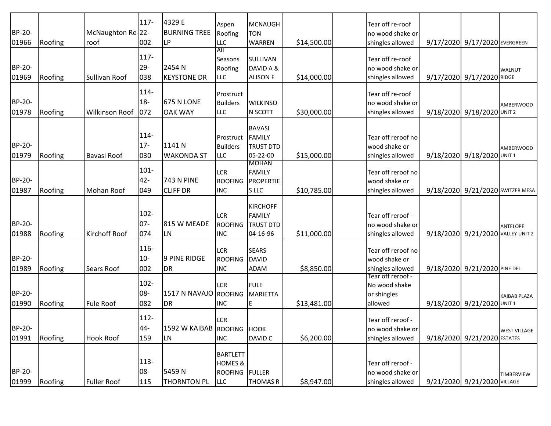| BP-20-<br>01966 | Roofing | McNaughton Re-22-<br>roof | $117 -$<br>002           | 4329 E<br><b>BURNING TREE</b><br>LP    | Aspen<br>Roofing<br><b>LLC</b>                                  | <b>MCNAUGH</b><br><b>TON</b><br><b>WARREN</b>                    | \$14,500.00 | Tear off re-roof<br>no wood shake or<br>shingles allowed     | 9/17/2020 9/17/2020 EVERGREEN     |                                  |
|-----------------|---------|---------------------------|--------------------------|----------------------------------------|-----------------------------------------------------------------|------------------------------------------------------------------|-------------|--------------------------------------------------------------|-----------------------------------|----------------------------------|
| BP-20-<br>01969 | Roofing | Sullivan Roof             | $117 -$<br>$29 -$<br>038 | 2454 N<br><b>KEYSTONE DR</b>           | All<br><b>Seasons</b><br>Roofing<br><b>LLC</b>                  | SULLIVAN<br>DAVID A &<br><b>ALISON F</b>                         | \$14,000.00 | Tear off re-roof<br>no wood shake or<br>shingles allowed     | 9/17/2020 9/17/2020 RIDGE         | <b>WALNUT</b>                    |
| BP-20-<br>01978 | Roofing | <b>Wilkinson Roof</b>     | 114-<br>$18 -$<br>072    | <b>675 N LONE</b><br><b>OAK WAY</b>    | Prostruct<br><b>Builders</b><br><b>LLC</b>                      | <b>WILKINSO</b><br>N SCOTT                                       | \$30,000.00 | Tear off re-roof<br>no wood shake or<br>shingles allowed     | 9/18/2020 9/18/2020 UNIT 2        | <b>AMBERWOOD</b>                 |
| BP-20-<br>01979 | Roofing | Bavasi Roof               | 114-<br>$17-$<br>030     | 1141 N<br><b>WAKONDA ST</b>            | Prostruct<br><b>Builders</b><br><b>LLC</b>                      | <b>BAVASI</b><br><b>FAMILY</b><br><b>TRUST DTD</b><br>05-22-00   | \$15,000.00 | Tear off reroof no<br>wood shake or<br>shingles allowed      | 9/18/2020 9/18/2020 UNIT 1        | <b>AMBERWOOD</b>                 |
| BP-20-<br>01987 | Roofing | Mohan Roof                | $101 -$<br>$42 -$<br>049 | <b>743 N PINE</b><br><b>CLIFF DR</b>   | <b>LCR</b><br><b>ROOFING</b><br><b>INC</b>                      | <b>MOHAN</b><br><b>FAMILY</b><br>PROPERTIE<br>S LLC              | \$10,785.00 | Tear off reroof no<br>wood shake or<br>shingles allowed      |                                   | 9/18/2020 9/21/2020 SWITZER MESA |
| BP-20-<br>01988 | Roofing | Kirchoff Roof             | $102 -$<br>$07 -$<br>074 | 815 W MEADE<br>ILN                     | <b>LCR</b><br><b>ROOFING</b><br><b>INC</b>                      | <b>KIRCHOFF</b><br><b>FAMILY</b><br><b>TRUST DTD</b><br>04-16-96 | \$11,000.00 | Tear off reroof -<br>no wood shake or<br>shingles allowed    | 9/18/2020 9/21/2020 VALLEY UNIT 2 | ANTELOPE                         |
| BP-20-<br>01989 | Roofing | Sears Roof                | 116-<br>$10-$<br>002     | <b>9 PINE RIDGE</b><br>DR <sub>.</sub> | <b>LCR</b><br><b>ROOFING</b><br><b>INC</b>                      | <b>SEARS</b><br><b>DAVID</b><br><b>ADAM</b>                      | \$8,850.00  | Tear off reroof no<br>wood shake or<br>shingles allowed      | 9/18/2020 9/21/2020 PINE DEL      |                                  |
| BP-20-<br>01990 | Roofing | <b>Fule Roof</b>          | $102 -$<br>08-<br>082    | 1517 N NAVAJO ROOFING<br><b>DR</b>     | <b>LCR</b><br><b>INC</b>                                        | <b>FULE</b><br><b>MARIETTA</b><br>E                              | \$13,481.00 | Tear off reroof -<br>No wood shake<br>or shingles<br>allowed | 9/18/2020 9/21/2020 UNIT 1        | <b>KAIBAB PLAZA</b>              |
| BP-20-<br>01991 | Roofing | <b>Hook Roof</b>          | $112 -$<br>44-<br>159    | 1592 W KAIBAB ROOFING HOOK<br>LN       | <b>LCR</b><br><b>INC</b>                                        | DAVID C                                                          | \$6,200.00  | Tear off reroof -<br>no wood shake or<br>shingles allowed    | 9/18/2020 9/21/2020 ESTATES       | <b>WEST VILLAGE</b>              |
| BP-20-<br>01999 | Roofing | <b>Fuller Roof</b>        | $113 -$<br>08-<br>115    | 5459N<br>THORNTON PL                   | <b>BARTLETT</b><br><b>HOMES &amp;</b><br><b>ROOFING</b><br>LLC. | <b>FULLER</b><br><b>THOMAS R</b>                                 | \$8,947.00  | Tear off reroof -<br>no wood shake or<br>shingles allowed    | 9/21/2020 9/21/2020 VILLAGE       | <b>TIMBERVIEW</b>                |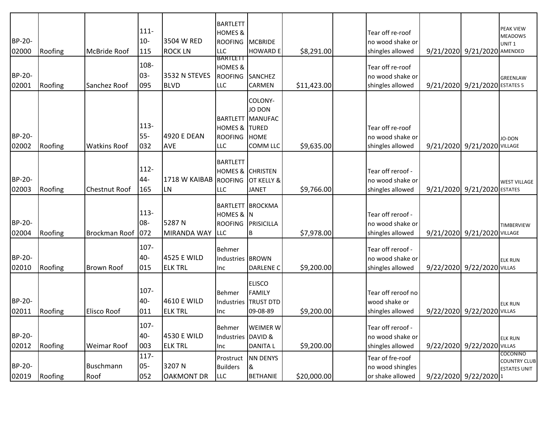| BP-20-<br>02000        | Roofing | McBride Roof         | $111 -$<br>$10 -$<br>115 | 3504 W RED<br><b>ROCK LN</b>  | <b>BARTLETT</b><br><b>HOMES &amp;</b><br><b>ROOFING</b><br><b>LLC</b> | <b>MCBRIDE</b><br><b>HOWARD E</b>                                              | \$8,291.00  | Tear off re-roof<br>no wood shake or<br>shingles allowed  | 9/21/2020 9/21/2020 AMENDED   | <b>PEAK VIEW</b><br><b>MEADOWS</b><br>UNIT <sub>1</sub> |
|------------------------|---------|----------------------|--------------------------|-------------------------------|-----------------------------------------------------------------------|--------------------------------------------------------------------------------|-------------|-----------------------------------------------------------|-------------------------------|---------------------------------------------------------|
| BP-20-<br>02001        | Roofing | Sanchez Roof         | 108-<br>03-<br>095       | 3532 N STEVES<br><b>BLVD</b>  | BARTLETT<br><b>HOMES &amp;</b><br><b>ROOFING</b><br>LLC               | <b>SANCHEZ</b><br>CARMEN                                                       | \$11,423.00 | Tear off re-roof<br>no wood shake or<br>shingles allowed  | 9/21/2020 9/21/2020 ESTATES 5 | <b>GREENLAW</b>                                         |
| BP-20-<br>02002        | Roofing | <b>Watkins Roof</b>  | $113 -$<br>$55-$<br>032  | 4920 E DEAN<br><b>AVE</b>     | <b>HOMES &amp; TURED</b><br><b>ROOFING</b><br><b>LLC</b>              | COLONY-<br><b>JO DON</b><br><b>BARTLETT MANUFAC</b><br><b>HOME</b><br>COMM LLC | \$9,635.00  | Tear off re-roof<br>no wood shake or<br>shingles allowed  | 9/21/2020 9/21/2020 VILLAGE   | JO-DON                                                  |
| BP-20-<br>02003        | Roofing | <b>Chestnut Roof</b> | $112 -$<br>44-<br>165    | 1718 W KAIBAB ROOFING<br>LN.  | <b>BARTLETT</b><br><b>HOMES &amp; CHRISTEN</b><br><b>LLC</b>          | OT KELLY &<br><b>JANET</b>                                                     | \$9,766.00  | Tear off reroof -<br>no wood shake or<br>shingles allowed | 9/21/2020 9/21/2020 ESTATES   | <b>WEST VILLAGE</b>                                     |
| <b>BP-20-</b><br>02004 | Roofing | Brockman Roof 072    | $113 -$<br>08-           | 5287N<br>MIRANDA WAY          | HOMES & N<br><b>ROOFING</b><br><b>LLC</b>                             | <b>BARTLETT BROCKMA</b><br>PRISICILLA<br>B                                     | \$7,978.00  | Tear off reroof -<br>no wood shake or<br>shingles allowed | 9/21/2020 9/21/2020 VILLAGE   | <b>TIMBERVIEW</b>                                       |
| BP-20-<br>02010        | Roofing | <b>Brown Roof</b>    | 107-<br>40-<br>015       | 4525 E WILD<br><b>ELK TRL</b> | Behmer<br>Industries BROWN<br>Inc                                     | <b>DARLENE C</b>                                                               | \$9,200.00  | Tear off reroof -<br>no wood shake or<br>shingles allowed | 9/22/2020 9/22/2020 VILLAS    | <b>ELK RUN</b>                                          |
| BP-20-<br>02011        | Roofing | <b>Elisco Roof</b>   | 107-<br>40-<br>011       | 4610 E WILD<br><b>ELK TRL</b> | <b>Behmer</b><br>Inc                                                  | <b>ELISCO</b><br><b>FAMILY</b><br>Industries TRUST DTD<br>09-08-89             | \$9,200.00  | Tear off reroof no<br>wood shake or<br>shingles allowed   | 9/22/2020 9/22/2020 VILLAS    | <b>ELK RUN</b>                                          |
| BP-20-<br>02012        | Roofing | <b>Weimar Roof</b>   | $107 -$<br>40-<br>003    | 4530 E WILD<br><b>ELK TRL</b> | Behmer<br>Industries DAVID &<br>Inc                                   | WEIMER W<br><b>DANITA L</b>                                                    | \$9,200.00  | Tear off reroof -<br>no wood shake or<br>shingles allowed | 9/22/2020 9/22/2020 VILLAS    | <b>ELK RUN</b><br>COCONINO                              |
| BP-20-<br>02019        | Roofing | Buschmann<br>Roof    | 117-<br>$05 -$<br>052    | 3207 N<br><b>OAKMONT DR</b>   | Prostruct<br><b>Builders</b><br><b>LLC</b>                            | <b>NN DENYS</b><br>&<br><b>BETHANIE</b>                                        | \$20,000.00 | Tear of fre-roof<br>no wood shingles<br>or shake allowed  | 9/22/2020 9/22/2020 1         | <b>COUNTRY CLUB</b><br><b>ESTATES UNIT</b>              |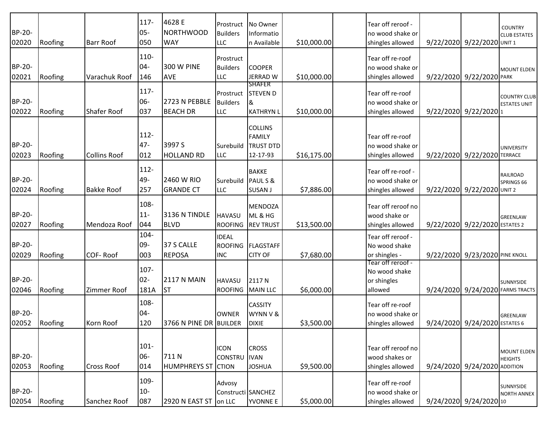| BP-20-<br>02020 | Roofing | <b>Barr Roof</b>    | $117 -$<br>$05 -$<br>050 | 4628 E<br><b>NORTHWOOD</b><br><b>WAY</b> | Prostruct<br><b>Builders</b><br>LLC          | No Owner<br>Informatio<br>n Available                           | \$10,000.00 | Tear off reroof -<br>no wood shake or<br>shingles allowed    | 9/22/2020 9/22/2020 UNIT 1       | <b>COUNTRY</b><br><b>CLUB ESTATES</b>      |
|-----------------|---------|---------------------|--------------------------|------------------------------------------|----------------------------------------------|-----------------------------------------------------------------|-------------|--------------------------------------------------------------|----------------------------------|--------------------------------------------|
| BP-20-<br>02021 | Roofing | Varachuk Roof       | 110-<br>$04 -$<br>146    | <b>300 W PINE</b><br><b>AVE</b>          | Prostruct<br><b>Builders</b><br><b>LLC</b>   | <b>COOPER</b><br><b>JERRAD W</b><br><b>SHAFER</b>               | \$10,000.00 | Tear off re-roof<br>no wood shake or<br>shingles allowed     | 9/22/2020 9/22/2020 PARK         | <b>MOUNT ELDEN</b>                         |
| BP-20-<br>02022 | Roofing | Shafer Roof         | $117 -$<br>06-<br>037    | 2723 N PEBBLE<br><b>BEACH DR</b>         | Prostruct<br><b>Builders</b><br><b>LLC</b>   | <b>STEVEN D</b><br>8<br><b>KATHRYN L</b>                        | \$10,000.00 | Tear off re-roof<br>no wood shake or<br>shingles allowed     | 9/22/2020 9/22/2020 1            | <b>COUNTRY CLUB</b><br><b>ESTATES UNIT</b> |
| BP-20-<br>02023 | Roofing | <b>Collins Roof</b> | 112-<br>$47 -$<br>012    | 3997 S<br><b>HOLLAND RD</b>              | Surebuild<br><b>LLC</b>                      | <b>COLLINS</b><br><b>FAMILY</b><br><b>TRUST DTD</b><br>12-17-93 | \$16,175.00 | Tear off re-roof<br>no wood shake or<br>shingles allowed     | 9/22/2020 9/22/2020 TERRACE      | <b>UNIVERSITY</b>                          |
| BP-20-<br>02024 | Roofing | <b>Bakke Roof</b>   | $112 -$<br>49-<br>257    | 2460 W RIO<br><b>GRANDE CT</b>           | Surebuild<br><b>LLC</b>                      | <b>BAKKE</b><br>PAUL S &<br><b>SUSAN J</b>                      | \$7,886.00  | Tear off re-roof -<br>no wood shake or<br>shingles allowed   | 9/22/2020 9/22/2020 UNIT 2       | RAILROAD<br>SPRINGS 66                     |
| BP-20-<br>02027 | Roofing | Mendoza Roof        | 108-<br>$11 -$<br>044    | 3136 N TINDLE<br>BLVD                    | <b>HAVASU</b><br><b>ROOFING</b>              | <b>MENDOZA</b><br>ML & HG<br><b>REV TRUST</b>                   | \$13,500.00 | Tear off reroof no<br>wood shake or<br>shingles allowed      | 9/22/2020 9/22/2020 ESTATES 2    | <b>GREENLAW</b>                            |
| BP-20-<br>02029 | Roofing | COF-Roof            | 104-<br>09-<br>003       | 37 S CALLE<br><b>REPOSA</b>              | <b>IDEAL</b><br><b>ROOFING</b><br><b>INC</b> | <b>FLAGSTAFF</b><br><b>CITY OF</b>                              | \$7,680.00  | Tear off reroof -<br>No wood shake<br>or shingles -          | 9/22/2020 9/23/2020 PINE KNOLL   |                                            |
| BP-20-<br>02046 | Roofing | Zimmer Roof         | 107-<br>$02 -$<br>181A   | <b>2117 N MAIN</b><br><b>ST</b>          | <b>HAVASU</b><br><b>ROOFING</b>              | 2117N<br><b>MAIN LLC</b>                                        | \$6,000.00  | Tear off reroof -<br>No wood shake<br>or shingles<br>allowed | 9/24/2020 9/24/2020 FARMS TRACTS | <b>SUNNYSIDE</b>                           |
| BP-20-<br>02052 | Roofing | Korn Roof           | 108-<br>04-<br>120       | 3766 N PINE DR BUILDER                   | <b>OWNER</b>                                 | <b>CASSITY</b><br>WYNN V &<br><b>DIXIE</b>                      | \$3,500.00  | Tear off re-roof<br>no wood shake or<br>shingles allowed     | 9/24/2020 9/24/2020 ESTATES 6    | <b>GREENLAW</b>                            |
| BP-20-<br>02053 | Roofing | <b>Cross Roof</b>   | $101 -$<br>06-<br>014    | 711N<br><b>HUMPHREYS ST</b>              | <b>ICON</b><br>CONSTRU IVAN<br><b>CTION</b>  | <b>CROSS</b><br><b>JOSHUA</b>                                   | \$9,500.00  | Tear off reroof no<br>wood shakes or<br>shingles allowed     | 9/24/2020 9/24/2020 ADDITION     | <b>MOUNT ELDEN</b><br><b>HEIGHTS</b>       |
| BP-20-<br>02054 | Roofing | Sanchez Roof        | 109-<br>$10-$<br>087     | 2920 N EAST ST                           | Advosy<br>Constructi SANCHEZ<br>on LLC       | <b>YVONNE E</b>                                                 | \$5,000.00  | Tear off re-roof<br>no wood shake or<br>shingles allowed     | 9/24/2020 9/24/2020 10           | SUNNYSIDE<br><b>NORTH ANNEX</b>            |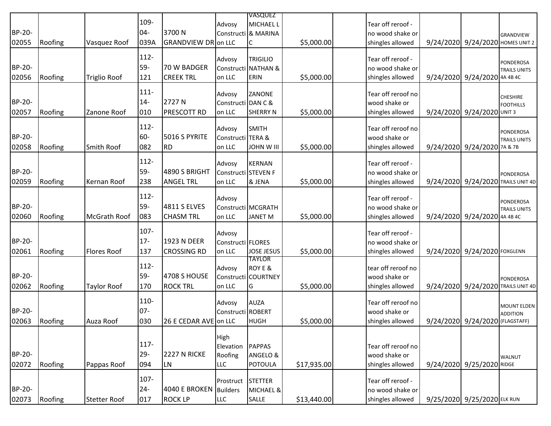|               |         |                    |         |                            |                     | <b>VASQUEZ</b>           |             |                    |                                  |                                                        |
|---------------|---------|--------------------|---------|----------------------------|---------------------|--------------------------|-------------|--------------------|----------------------------------|--------------------------------------------------------|
|               |         |                    | 109-    |                            | Advosy              | <b>MICHAEL L</b>         |             | Tear off reroof -  |                                  |                                                        |
| BP-20-        |         |                    | $04 -$  | 3700N                      |                     | Constructi & MARINA      |             | no wood shake or   |                                  | <b>GRANDVIEW</b>                                       |
| 02055         | Roofing | Vasquez Roof       | 039A    | <b>GRANDVIEW DR</b> on LLC |                     | C                        | \$5,000.00  | shingles allowed   | 9/24/2020 9/24/2020 HOMES UNIT 2 |                                                        |
|               |         |                    |         |                            |                     |                          |             |                    |                                  |                                                        |
|               |         |                    | $112 -$ |                            | Advosy              | <b>TRIGILIO</b>          |             | Tear off reroof -  |                                  | PONDEROSA                                              |
| BP-20-        |         |                    | 59-     | 70 W BADGER                |                     | Constructi NATHAN &      |             | no wood shake or   |                                  | <b>TRAILS UNITS</b>                                    |
| 02056         | Roofing | Triglio Roof       | 121     | <b>CREEK TRL</b>           | on LLC              | ERIN                     | \$5,000.00  | shingles allowed   | 9/24/2020 9/24/2020 4A 4B 4C     |                                                        |
|               |         |                    | $111 -$ |                            | Advosy              | ZANONE                   |             | Tear off reroof no |                                  |                                                        |
| BP-20-        |         |                    | $14 -$  | 2727N                      | Constructi DAN C &  |                          |             | wood shake or      |                                  | <b>CHESHIRE</b>                                        |
| 02057         | Roofing | Zanone Roof        | 010     | <b>PRESCOTT RD</b>         | on LLC              | <b>SHERRY N</b>          | \$5,000.00  | shingles allowed   | 9/24/2020 9/24/2020 UNIT 3       | <b>FOOTHILLS</b>                                       |
|               |         |                    |         |                            |                     |                          |             |                    |                                  |                                                        |
|               |         |                    | $112 -$ |                            | Advosy              | SMITH                    |             | Tear off reroof no |                                  | PONDEROSA                                              |
| BP-20-        |         |                    | 60-     | 5016 S PYRITE              | Constructi TERA &   |                          |             | wood shake or      |                                  | <b>TRAILS UNITS</b>                                    |
| 02058         | Roofing | Smith Roof         | 082     | <b>RD</b>                  | on LLC              | <b>JOHN W III</b>        | \$5,000.00  | shingles allowed   | 9/24/2020 9/24/2020 7A & 7B      |                                                        |
|               |         |                    | $112 -$ |                            |                     |                          |             |                    |                                  |                                                        |
| <b>BP-20-</b> |         |                    |         | 4890 S BRIGHT              | Advosy              | <b>KERNAN</b>            |             | Tear off reroof -  |                                  |                                                        |
|               |         |                    | 59-     |                            | Constructi STEVEN F |                          |             | no wood shake or   |                                  | <b>PONDEROSA</b>                                       |
| 02059         | Roofing | Kernan Roof        | 238     | <b>ANGEL TRL</b>           | on LLC              | & JENA                   | \$5,000.00  | shingles allowed   |                                  | 9/24/2020 9/24/2020 TRAILS UNIT 4D                     |
|               |         |                    | $112 -$ |                            | Advosy              |                          |             | Tear off reroof -  |                                  |                                                        |
| BP-20-        |         |                    | 59-     | 4811 S ELVES               |                     | Constructi MCGRATH       |             | no wood shake or   |                                  | PONDEROSA<br><b>TRAILS UNITS</b>                       |
| 02060         | Roofing | McGrath Roof       | 083     | <b>CHASM TRL</b>           | on LLC              | <b>JANET M</b>           | \$5,000.00  | shingles allowed   | 9/24/2020 9/24/2020 4A 4B 4C     |                                                        |
|               |         |                    |         |                            |                     |                          |             |                    |                                  |                                                        |
|               |         |                    | 107-    |                            | Advosy              |                          |             | Tear off reroof -  |                                  |                                                        |
| BP-20-        |         |                    | $17-$   | 1923 N DEER                | Constructi FLORES   |                          |             | no wood shake or   |                                  |                                                        |
| 02061         | Roofing | <b>Flores Roof</b> | 137     | <b>CROSSING RD</b>         | on LLC              | <b>JOSE JESUS</b>        | \$5,000.00  | shingles allowed   | 9/24/2020 9/24/2020 FOXGLENN     |                                                        |
|               |         |                    | $112 -$ |                            |                     | <b>TAYLOR</b><br>ROY E & |             | tear off reroof no |                                  |                                                        |
| <b>BP-20-</b> |         |                    | 59-     | 4708 S HOUSE               | Advosy              | Constructi COURTNEY      |             | wood shake or      |                                  |                                                        |
| 02062         | Roofing | <b>Taylor Roof</b> | 170     | <b>ROCK TRL</b>            | on LLC              | G                        | \$5,000.00  | shingles allowed   |                                  | <b>PONDEROSA</b><br>9/24/2020 9/24/2020 TRAILS UNIT 4D |
|               |         |                    |         |                            |                     |                          |             |                    |                                  |                                                        |
|               |         |                    | 110-    |                            | Advosy              | <b>AUZA</b>              |             | Tear off reroof no |                                  | <b>MOUNT ELDEN</b>                                     |
| BP-20-        |         |                    | $07 -$  |                            | Constructi ROBERT   |                          |             | wood shake or      |                                  | <b>ADDITION</b>                                        |
| 02063         | Roofing | Auza Roof          | 030     | 26 E CEDAR AVE on LLC      |                     | HUGH                     | \$5,000.00  | shingles allowed   | 9/24/2020 9/24/2020 (FLAGSTAFF)  |                                                        |
|               |         |                    |         |                            |                     |                          |             |                    |                                  |                                                        |
|               |         |                    |         |                            | High                |                          |             |                    |                                  |                                                        |
|               |         |                    | $117 -$ |                            | Elevation           | <b>PAPPAS</b>            |             | Tear off reroof no |                                  |                                                        |
| BP-20-        |         |                    | $29 -$  | <b>2227 N RICKE</b>        | Roofing             | ANGELO &                 |             | wood shake or      |                                  | <b>WALNUT</b>                                          |
| 02072         | Roofing | Pappas Roof        | 094     | <b>LN</b>                  | <b>LLC</b>          | <b>POTOULA</b>           | \$17,935.00 | shingles allowed   | 9/24/2020 9/25/2020 RIDGE        |                                                        |
|               |         |                    | 107-    |                            | Prostruct           | STETTER                  |             | Tear off reroof -  |                                  |                                                        |
| BP-20-        |         |                    | $24 -$  | 4040 E BROKEN Builders     |                     | MICHAEL &                |             | no wood shake or   |                                  |                                                        |
| 02073         | Roofing | Stetter Roof       | 017     | <b>ROCK LP</b>             | <b>LLC</b>          | SALLE                    | \$13,440.00 | shingles allowed   | 9/25/2020 9/25/2020 ELK RUN      |                                                        |
|               |         |                    |         |                            |                     |                          |             |                    |                                  |                                                        |